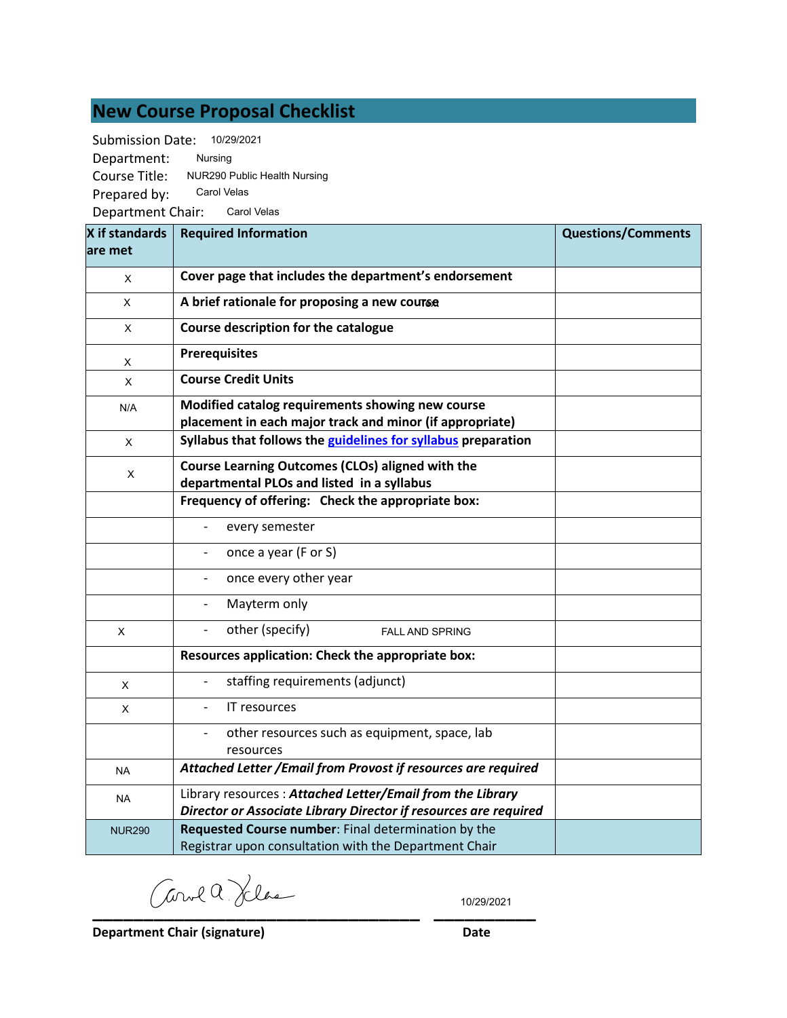## **New Course Proposal Checklist**

Submission Date: 10/29/2021

Department: Course Title: Prepared by: Nursing NUR290 Public Health Nursing Carol Velas

Department Chair: Carol Velas

| X if standards<br>lare met | <b>Required Information</b>                                                                                                   | <b>Questions/Comments</b> |
|----------------------------|-------------------------------------------------------------------------------------------------------------------------------|---------------------------|
| X                          | Cover page that includes the department's endorsement                                                                         |                           |
| X                          | A brief rationale for proposing a new course                                                                                  |                           |
| X                          | Course description for the catalogue                                                                                          |                           |
| X                          | <b>Prerequisites</b>                                                                                                          |                           |
| X                          | <b>Course Credit Units</b>                                                                                                    |                           |
| N/A                        | Modified catalog requirements showing new course<br>placement in each major track and minor (if appropriate)                  |                           |
| X                          | Syllabus that follows the guidelines for syllabus preparation                                                                 |                           |
| Χ                          | Course Learning Outcomes (CLOs) aligned with the<br>departmental PLOs and listed in a syllabus                                |                           |
|                            | Frequency of offering: Check the appropriate box:                                                                             |                           |
|                            | every semester                                                                                                                |                           |
|                            | once a year (F or S)                                                                                                          |                           |
|                            | once every other year                                                                                                         |                           |
|                            | Mayterm only                                                                                                                  |                           |
| $\times$                   | other (specify)<br><b>FALL AND SPRING</b>                                                                                     |                           |
|                            | Resources application: Check the appropriate box:                                                                             |                           |
| X                          | staffing requirements (adjunct)                                                                                               |                           |
| X                          | IT resources                                                                                                                  |                           |
|                            | other resources such as equipment, space, lab<br>resources                                                                    |                           |
| <b>NA</b>                  | Attached Letter / Email from Provost if resources are required                                                                |                           |
| <b>NA</b>                  | Library resources: Attached Letter/Email from the Library<br>Director or Associate Library Director if resources are required |                           |
| <b>NUR290</b>              | Requested Course number: Final determination by the<br>Registrar upon consultation with the Department Chair                  |                           |

**\_\_\_\_\_\_\_\_\_\_\_\_\_\_\_\_\_\_\_\_\_\_\_\_\_\_\_\_\_\_\_\_ \_\_\_\_\_\_\_\_\_\_**

10/29/2021

**Department Chair (signature) Date**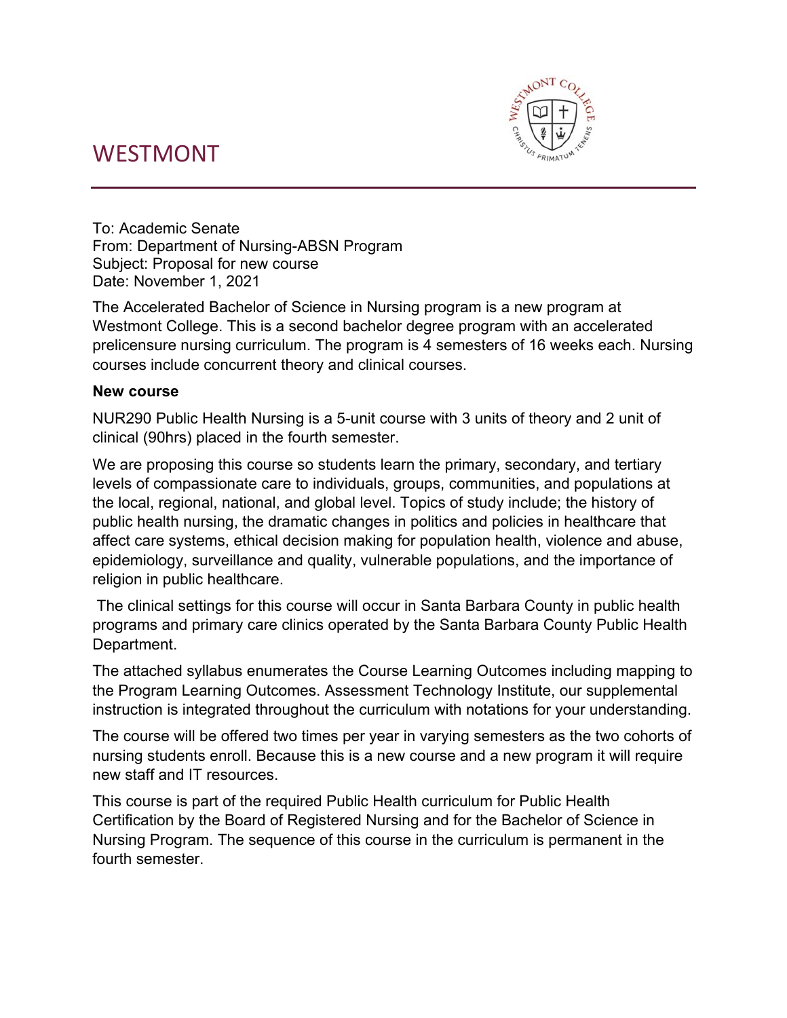## WESTMONT



To: Academic Senate From: Department of Nursing-ABSN Program Subject: Proposal for new course Date: November 1, 2021

The Accelerated Bachelor of Science in Nursing program is a new program at Westmont College. This is a second bachelor degree program with an accelerated prelicensure nursing curriculum. The program is 4 semesters of 16 weeks each. Nursing courses include concurrent theory and clinical courses.

## **New course**

NUR290 Public Health Nursing is a 5-unit course with 3 units of theory and 2 unit of clinical (90hrs) placed in the fourth semester.

We are proposing this course so students learn the primary, secondary, and tertiary levels of compassionate care to individuals, groups, communities, and populations at the local, regional, national, and global level. Topics of study include; the history of public health nursing, the dramatic changes in politics and policies in healthcare that affect care systems, ethical decision making for population health, violence and abuse, epidemiology, surveillance and quality, vulnerable populations, and the importance of religion in public healthcare.

 The clinical settings for this course will occur in Santa Barbara County in public health programs and primary care clinics operated by the Santa Barbara County Public Health Department.

The attached syllabus enumerates the Course Learning Outcomes including mapping to the Program Learning Outcomes. Assessment Technology Institute, our supplemental instruction is integrated throughout the curriculum with notations for your understanding.

The course will be offered two times per year in varying semesters as the two cohorts of nursing students enroll. Because this is a new course and a new program it will require new staff and IT resources.

This course is part of the required Public Health curriculum for Public Health Certification by the Board of Registered Nursing and for the Bachelor of Science in Nursing Program. The sequence of this course in the curriculum is permanent in the fourth semester.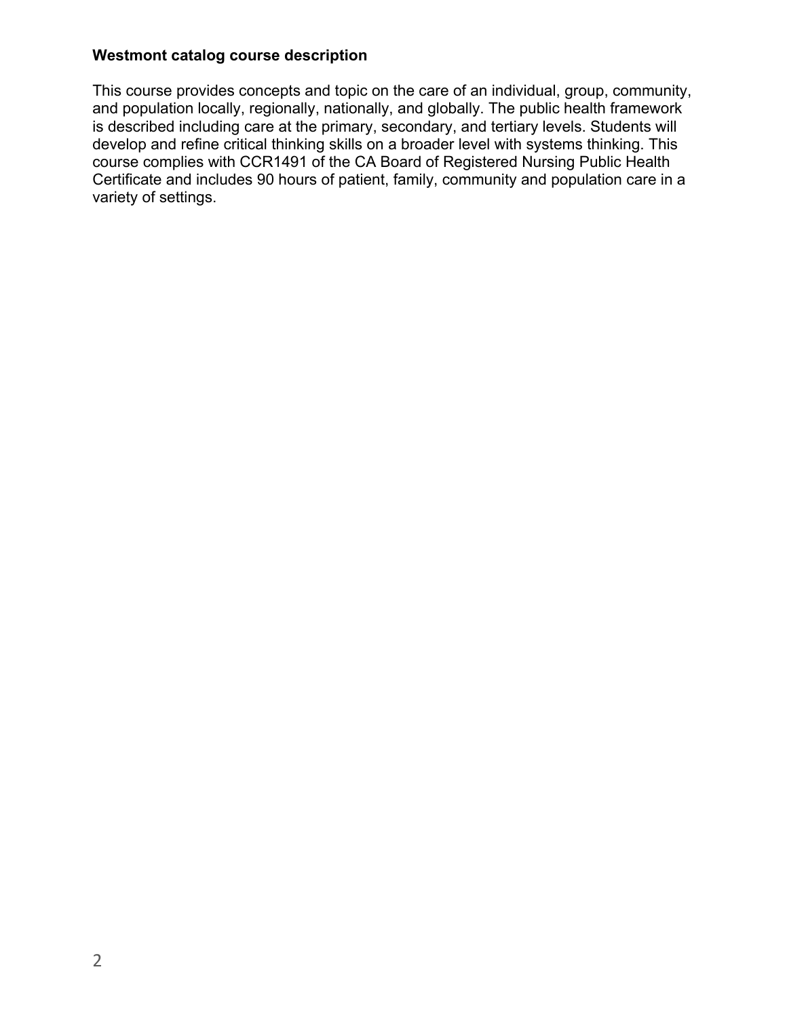## **Westmont catalog course description**

This course provides concepts and topic on the care of an individual, group, community, and population locally, regionally, nationally, and globally. The public health framework is described including care at the primary, secondary, and tertiary levels. Students will develop and refine critical thinking skills on a broader level with systems thinking. This course complies with CCR1491 of the CA Board of Registered Nursing Public Health Certificate and includes 90 hours of patient, family, community and population care in a variety of settings.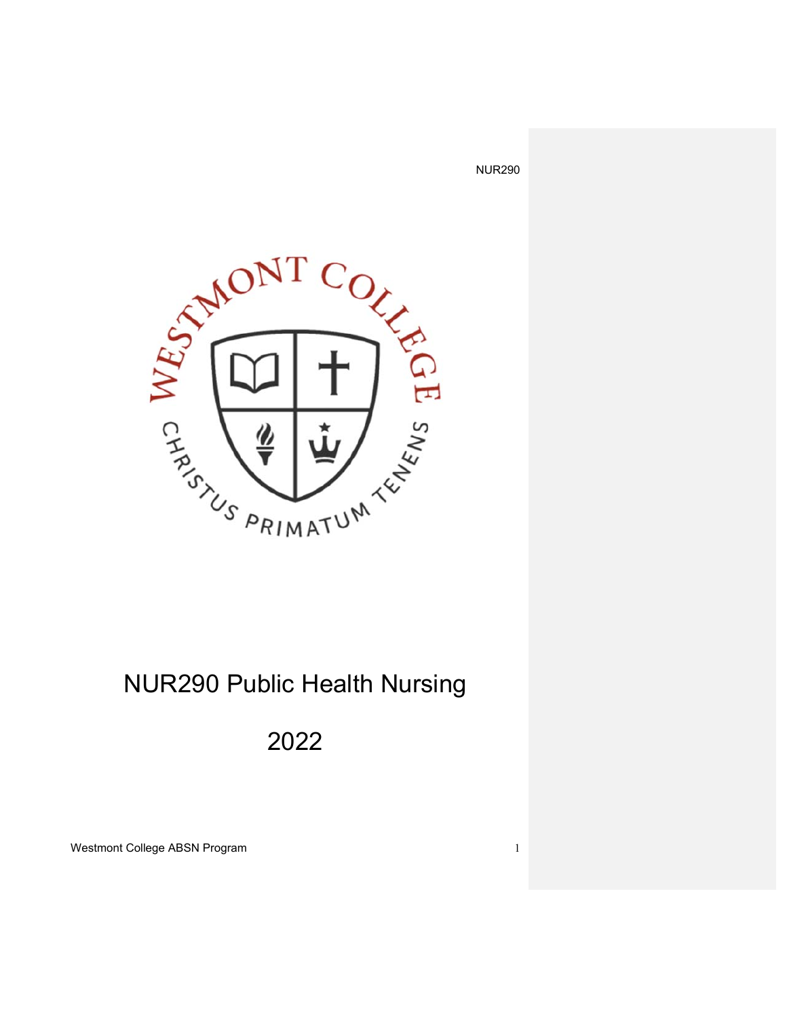

# NUR290 Public Health Nursing

# 2022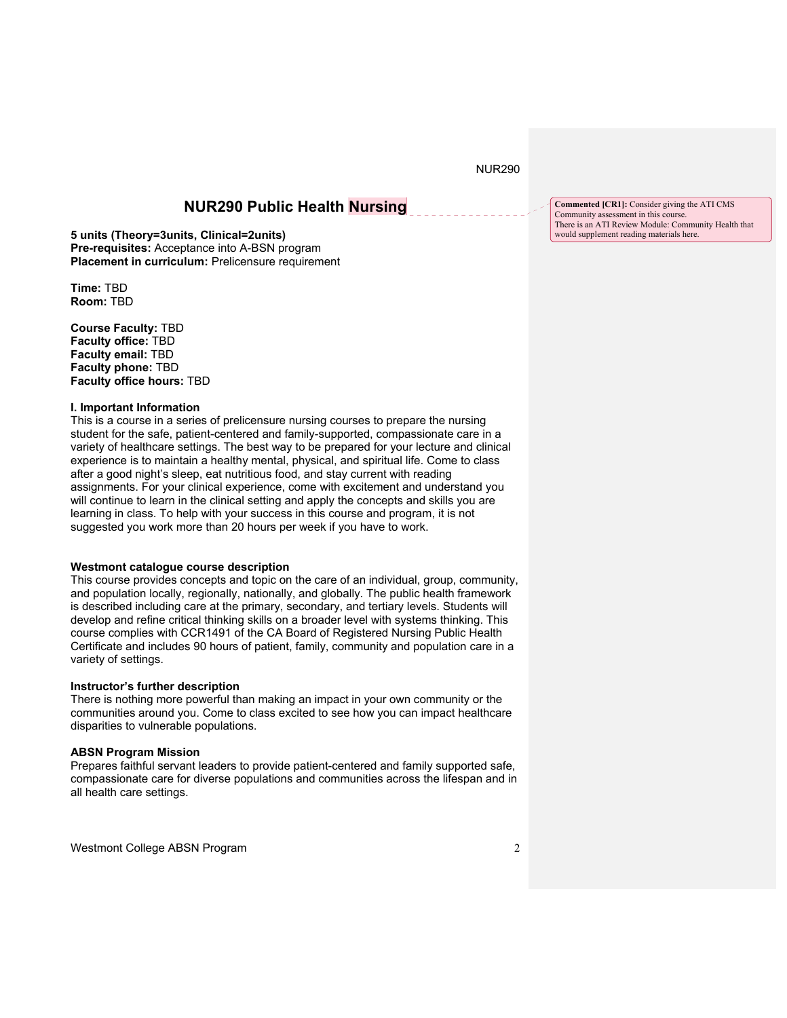## **NUR290 Public Health Nursing**

**5 units (Theory=3units, Clinical=2units) Pre-requisites:** Acceptance into A-BSN program **Placement in curriculum: Prelicensure requirement** 

**Time:** TBD **Room:** TBD

**Course Faculty:** TBD **Faculty office:** TBD **Faculty email:** TBD **Faculty phone:** TBD **Faculty office hours:** TBD

#### **I. Important Information**

This is a course in a series of prelicensure nursing courses to prepare the nursing student for the safe, patient-centered and family-supported, compassionate care in a variety of healthcare settings. The best way to be prepared for your lecture and clinical experience is to maintain a healthy mental, physical, and spiritual life. Come to class after a good night's sleep, eat nutritious food, and stay current with reading assignments. For your clinical experience, come with excitement and understand you will continue to learn in the clinical setting and apply the concepts and skills you are learning in class. To help with your success in this course and program, it is not suggested you work more than 20 hours per week if you have to work.

#### **Westmont catalogue course description**

This course provides concepts and topic on the care of an individual, group, community, and population locally, regionally, nationally, and globally. The public health framework is described including care at the primary, secondary, and tertiary levels. Students will develop and refine critical thinking skills on a broader level with systems thinking. This course complies with CCR1491 of the CA Board of Registered Nursing Public Health Certificate and includes 90 hours of patient, family, community and population care in a variety of settings.

#### **Instructor's further description**

There is nothing more powerful than making an impact in your own community or the communities around you. Come to class excited to see how you can impact healthcare disparities to vulnerable populations.

#### **ABSN Program Mission**

Prepares faithful servant leaders to provide patient-centered and family supported safe, compassionate care for diverse populations and communities across the lifespan and in all health care settings.

Westmont College ABSN Program 2

**Commented [CR1]:** Consider giving the ATI CMS Community assessment in this course. There is an ATI Review Module: Community Health that would supplement reading materials here.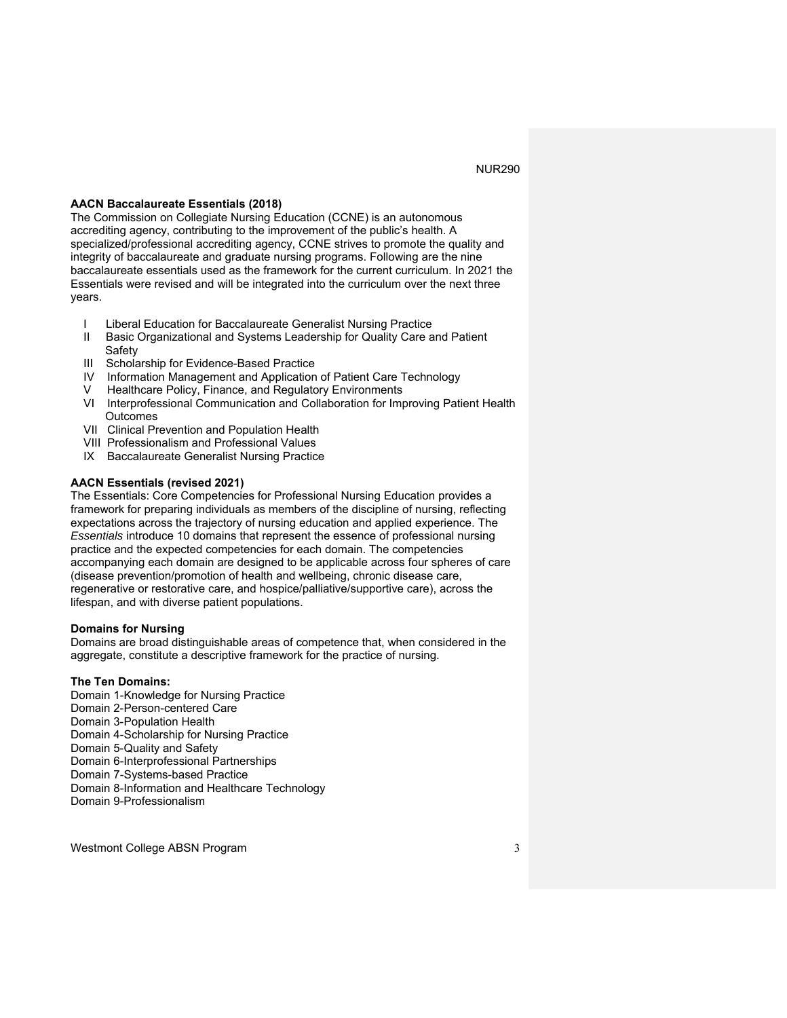#### **AACN Baccalaureate Essentials (2018)**

The Commission on Collegiate Nursing Education (CCNE) is an autonomous accrediting agency, contributing to the improvement of the public's health. A specialized/professional accrediting agency, CCNE strives to promote the quality and integrity of baccalaureate and graduate nursing programs. Following are the nine baccalaureate essentials used as the framework for the current curriculum. In 2021 the Essentials were revised and will be integrated into the curriculum over the next three years.

- I Liberal Education for Baccalaureate Generalist Nursing Practice
- II Basic Organizational and Systems Leadership for Quality Care and Patient Safety
- III Scholarship for Evidence-Based Practice
- IV Information Management and Application of Patient Care Technology
- Healthcare Policy, Finance, and Regulatory Environments
- VI Interprofessional Communication and Collaboration for Improving Patient Health **Outcomes**
- VII Clinical Prevention and Population Health
- VIII Professionalism and Professional Values
- IX Baccalaureate Generalist Nursing Practice

#### **AACN Essentials (revised 2021)**

The Essentials: Core Competencies for Professional Nursing Education provides a framework for preparing individuals as members of the discipline of nursing, reflecting expectations across the trajectory of nursing education and applied experience. The *Essentials* introduce 10 domains that represent the essence of professional nursing practice and the expected competencies for each domain. The competencies accompanying each domain are designed to be applicable across four spheres of care (disease prevention/promotion of health and wellbeing, chronic disease care, regenerative or restorative care, and hospice/palliative/supportive care), across the lifespan, and with diverse patient populations.

#### **Domains for Nursing**

Domains are broad distinguishable areas of competence that, when considered in the aggregate, constitute a descriptive framework for the practice of nursing.

#### **The Ten Domains:**

Domain 1-Knowledge for Nursing Practice Domain 2-Person-centered Care Domain 3-Population Health Domain 4-Scholarship for Nursing Practice Domain 5-Quality and Safety Domain 6-Interprofessional Partnerships Domain 7-Systems-based Practice Domain 8-Information and Healthcare Technology Domain 9-Professionalism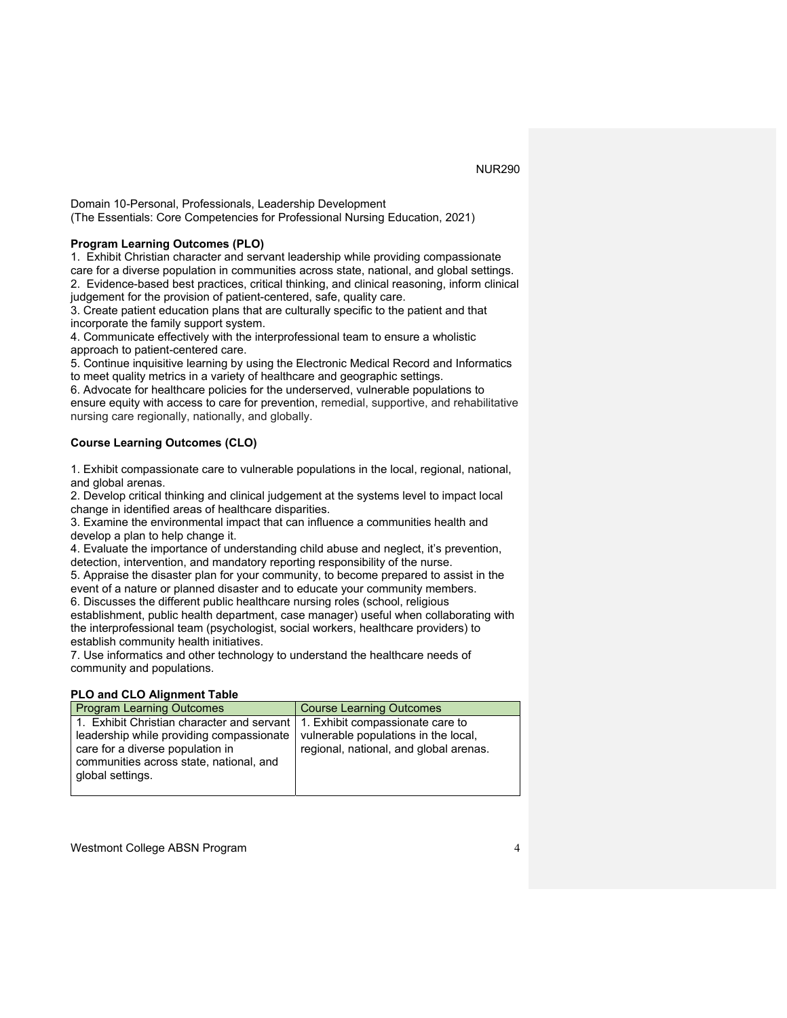Domain 10-Personal, Professionals, Leadership Development (The Essentials: Core Competencies for Professional Nursing Education, 2021)

#### **Program Learning Outcomes (PLO)**

1. Exhibit Christian character and servant leadership while providing compassionate care for a diverse population in communities across state, national, and global settings.

2. Evidence-based best practices, critical thinking, and clinical reasoning, inform clinical judgement for the provision of patient-centered, safe, quality care.

3. Create patient education plans that are culturally specific to the patient and that incorporate the family support system.

4. Communicate effectively with the interprofessional team to ensure a wholistic approach to patient-centered care.

5. Continue inquisitive learning by using the Electronic Medical Record and Informatics to meet quality metrics in a variety of healthcare and geographic settings.

6. Advocate for healthcare policies for the underserved, vulnerable populations to ensure equity with access to care for prevention, remedial, supportive, and rehabilitative nursing care regionally, nationally, and globally.

#### **Course Learning Outcomes (CLO)**

1. Exhibit compassionate care to vulnerable populations in the local, regional, national, and global arenas.

2. Develop critical thinking and clinical judgement at the systems level to impact local change in identified areas of healthcare disparities.

3. Examine the environmental impact that can influence a communities health and develop a plan to help change it.

4. Evaluate the importance of understanding child abuse and neglect, it's prevention, detection, intervention, and mandatory reporting responsibility of the nurse.

5. Appraise the disaster plan for your community, to become prepared to assist in the event of a nature or planned disaster and to educate your community members.

6. Discusses the different public healthcare nursing roles (school, religious

establishment, public health department, case manager) useful when collaborating with the interprofessional team (psychologist, social workers, healthcare providers) to establish community health initiatives.

7. Use informatics and other technology to understand the healthcare needs of community and populations.

#### **PLO and CLO Alignment Table**

| <b>Program Learning Outcomes</b>                                                                                                                                                                                             | <b>Course Learning Outcomes</b>                                                |
|------------------------------------------------------------------------------------------------------------------------------------------------------------------------------------------------------------------------------|--------------------------------------------------------------------------------|
| 1. Exhibit Christian character and servant   1. Exhibit compassionate care to<br>leadership while providing compassionate<br>care for a diverse population in<br>communities across state, national, and<br>global settings. | vulnerable populations in the local,<br>regional, national, and global arenas. |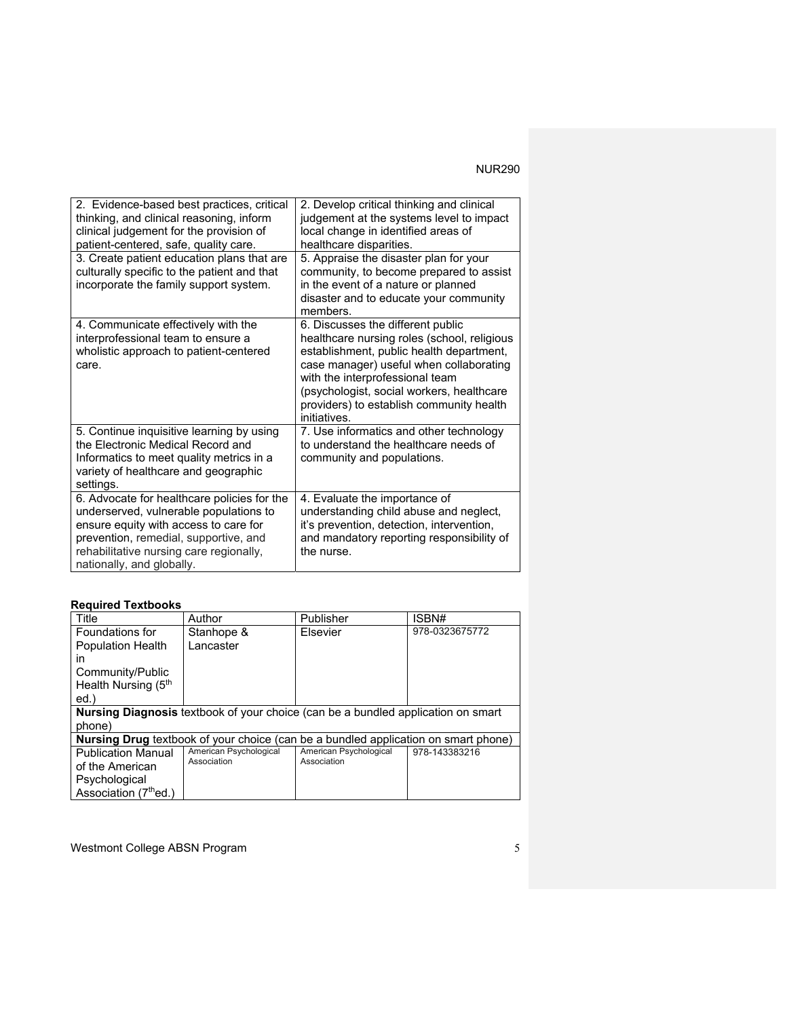| 2. Evidence-based best practices, critical<br>thinking, and clinical reasoning, inform<br>clinical judgement for the provision of<br>patient-centered, safe, quality care.                                                                      | 2. Develop critical thinking and clinical<br>judgement at the systems level to impact<br>local change in identified areas of<br>healthcare disparities.                                                                                                                                                             |
|-------------------------------------------------------------------------------------------------------------------------------------------------------------------------------------------------------------------------------------------------|---------------------------------------------------------------------------------------------------------------------------------------------------------------------------------------------------------------------------------------------------------------------------------------------------------------------|
| 3. Create patient education plans that are<br>culturally specific to the patient and that<br>incorporate the family support system.                                                                                                             | 5. Appraise the disaster plan for your<br>community, to become prepared to assist<br>in the event of a nature or planned<br>disaster and to educate your community<br>members.                                                                                                                                      |
| 4. Communicate effectively with the<br>interprofessional team to ensure a<br>wholistic approach to patient-centered<br>care.                                                                                                                    | 6. Discusses the different public<br>healthcare nursing roles (school, religious<br>establishment, public health department,<br>case manager) useful when collaborating<br>with the interprofessional team<br>(psychologist, social workers, healthcare<br>providers) to establish community health<br>initiatives. |
| 5. Continue inquisitive learning by using<br>the Electronic Medical Record and<br>Informatics to meet quality metrics in a<br>variety of healthcare and geographic<br>settings.                                                                 | 7. Use informatics and other technology<br>to understand the healthcare needs of<br>community and populations.                                                                                                                                                                                                      |
| 6. Advocate for healthcare policies for the<br>underserved, vulnerable populations to<br>ensure equity with access to care for<br>prevention, remedial, supportive, and<br>rehabilitative nursing care regionally,<br>nationally, and globally. | 4. Evaluate the importance of<br>understanding child abuse and neglect,<br>it's prevention, detection, intervention,<br>and mandatory reporting responsibility of<br>the nurse.                                                                                                                                     |

## **Required Textbooks**

| Title                             | Author                                                                                    | Publisher              | ISBN#          |
|-----------------------------------|-------------------------------------------------------------------------------------------|------------------------|----------------|
| Foundations for                   | Stanhope &                                                                                | Elsevier               | 978-0323675772 |
| <b>Population Health</b>          | I ancaster                                                                                |                        |                |
| in                                |                                                                                           |                        |                |
| Community/Public                  |                                                                                           |                        |                |
| Health Nursing (5 <sup>th</sup>   |                                                                                           |                        |                |
| ed.                               |                                                                                           |                        |                |
|                                   | <b>Nursing Diagnosis textbook of your choice (can be a bundled application on smart</b>   |                        |                |
| phone)                            |                                                                                           |                        |                |
|                                   | <b>Nursing Drug</b> textbook of your choice (can be a bundled application on smart phone) |                        |                |
| <b>Publication Manual</b>         | American Psychological                                                                    | American Psychological | 978-143383216  |
| of the American                   | Association                                                                               | Association            |                |
| Psychological                     |                                                                                           |                        |                |
| Association (7 <sup>th</sup> ed.) |                                                                                           |                        |                |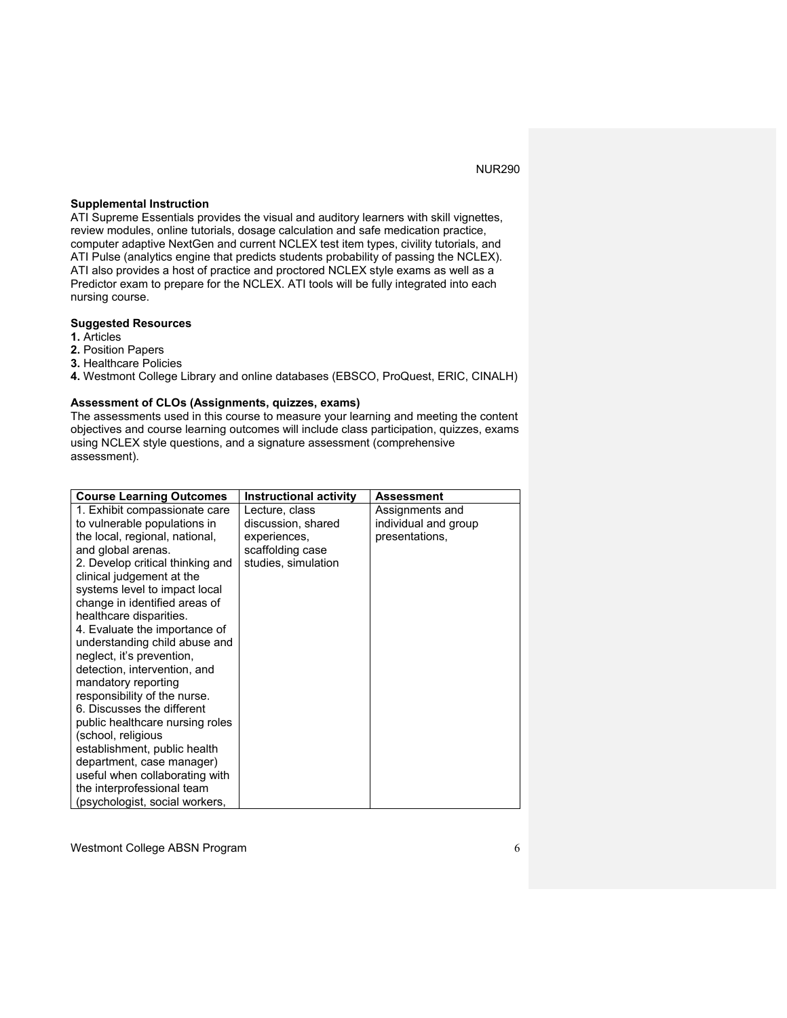### **Supplemental Instruction**

ATI Supreme Essentials provides the visual and auditory learners with skill vignettes, review modules, online tutorials, dosage calculation and safe medication practice, computer adaptive NextGen and current NCLEX test item types, civility tutorials, and ATI Pulse (analytics engine that predicts students probability of passing the NCLEX). ATI also provides a host of practice and proctored NCLEX style exams as well as a Predictor exam to prepare for the NCLEX. ATI tools will be fully integrated into each nursing course.

#### **Suggested Resources**

#### **1.** Articles

- **2.** Position Papers
- **3.** Healthcare Policies

**4.** Westmont College Library and online databases (EBSCO, ProQuest, ERIC, CINALH)

#### **Assessment of CLOs (Assignments, quizzes, exams)**

The assessments used in this course to measure your learning and meeting the content objectives and course learning outcomes will include class participation, quizzes, exams using NCLEX style questions, and a signature assessment (comprehensive assessment).

| <b>Course Learning Outcomes</b>  | <b>Instructional activity</b> | Assessment           |
|----------------------------------|-------------------------------|----------------------|
| 1. Exhibit compassionate care    | Lecture, class                | Assignments and      |
| to vulnerable populations in     | discussion, shared            | individual and group |
| the local, regional, national,   | experiences,                  | presentations,       |
| and global arenas.               | scaffolding case              |                      |
| 2. Develop critical thinking and | studies, simulation           |                      |
| clinical judgement at the        |                               |                      |
| systems level to impact local    |                               |                      |
| change in identified areas of    |                               |                      |
| healthcare disparities.          |                               |                      |
| 4. Evaluate the importance of    |                               |                      |
| understanding child abuse and    |                               |                      |
| neglect, it's prevention,        |                               |                      |
| detection, intervention, and     |                               |                      |
| mandatory reporting              |                               |                      |
| responsibility of the nurse.     |                               |                      |
| 6. Discusses the different       |                               |                      |
| public healthcare nursing roles  |                               |                      |
| (school, religious               |                               |                      |
| establishment, public health     |                               |                      |
| department, case manager)        |                               |                      |
| useful when collaborating with   |                               |                      |
| the interprofessional team       |                               |                      |
| (psychologist, social workers,   |                               |                      |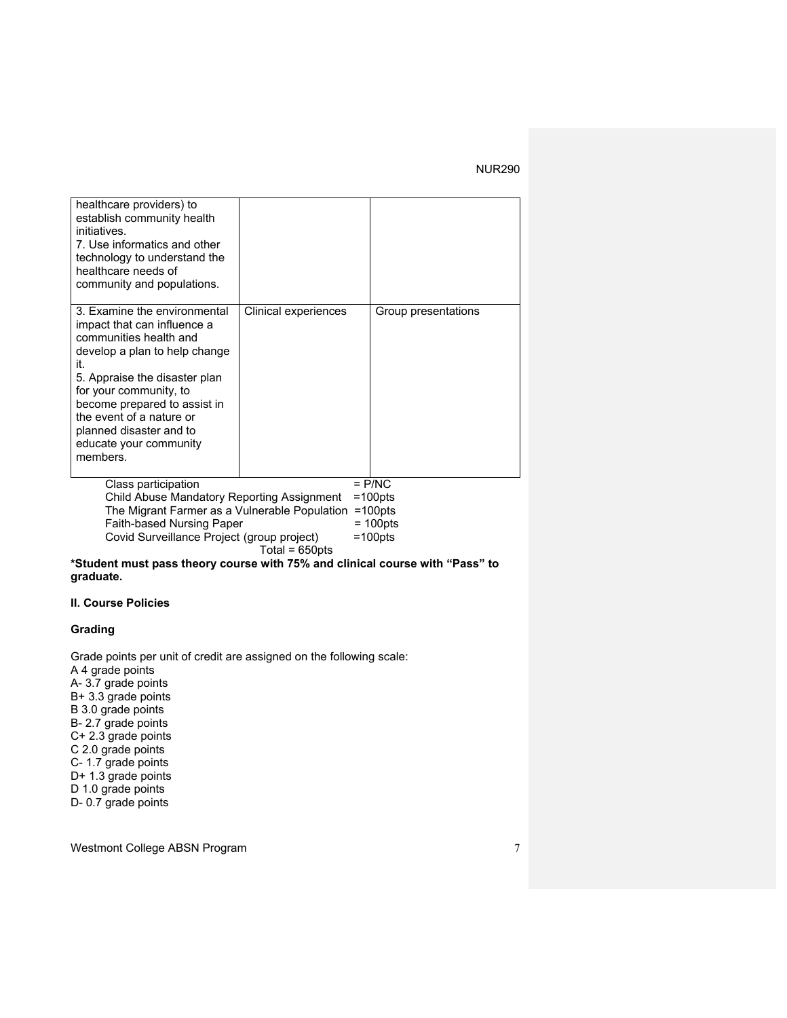| healthcare providers) to<br>establish community health<br>initiatives.<br>7. Use informatics and other<br>technology to understand the<br>healthcare needs of<br>community and populations.                                                                                                                           |                      |                           |
|-----------------------------------------------------------------------------------------------------------------------------------------------------------------------------------------------------------------------------------------------------------------------------------------------------------------------|----------------------|---------------------------|
| 3. Examine the environmental<br>impact that can influence a<br>communities health and<br>develop a plan to help change<br>it.<br>5. Appraise the disaster plan<br>for your community, to<br>become prepared to assist in<br>the event of a nature or<br>planned disaster and to<br>educate your community<br>members. | Clinical experiences | Group presentations       |
| Class participation<br>Child Abuse Mandatory Reporting Assignment                                                                                                                                                                                                                                                     |                      | $=$ P/NC<br>$=100$ pts    |
| The Migrant Farmer as a Vulnerable Population                                                                                                                                                                                                                                                                         |                      | $=100$ pts                |
| Faith-based Nursing Paper                                                                                                                                                                                                                                                                                             |                      | $= 100$ pts<br>$=100$ pts |
| Covid Surveillance Project (group project)                                                                                                                                                                                                                                                                            | Total = 650pts       |                           |

**\*Student must pass theory course with 75% and clinical course with "Pass" to graduate.** 

## **II. Course Policies**

## **Grading**

Grade points per unit of credit are assigned on the following scale: A 4 grade points A- 3.7 grade points B+ 3.3 grade points B 3.0 grade points B- 2.7 grade points C+ 2.3 grade points C 2.0 grade points C- 1.7 grade points D+ 1.3 grade points D 1.0 grade points D- 0.7 grade points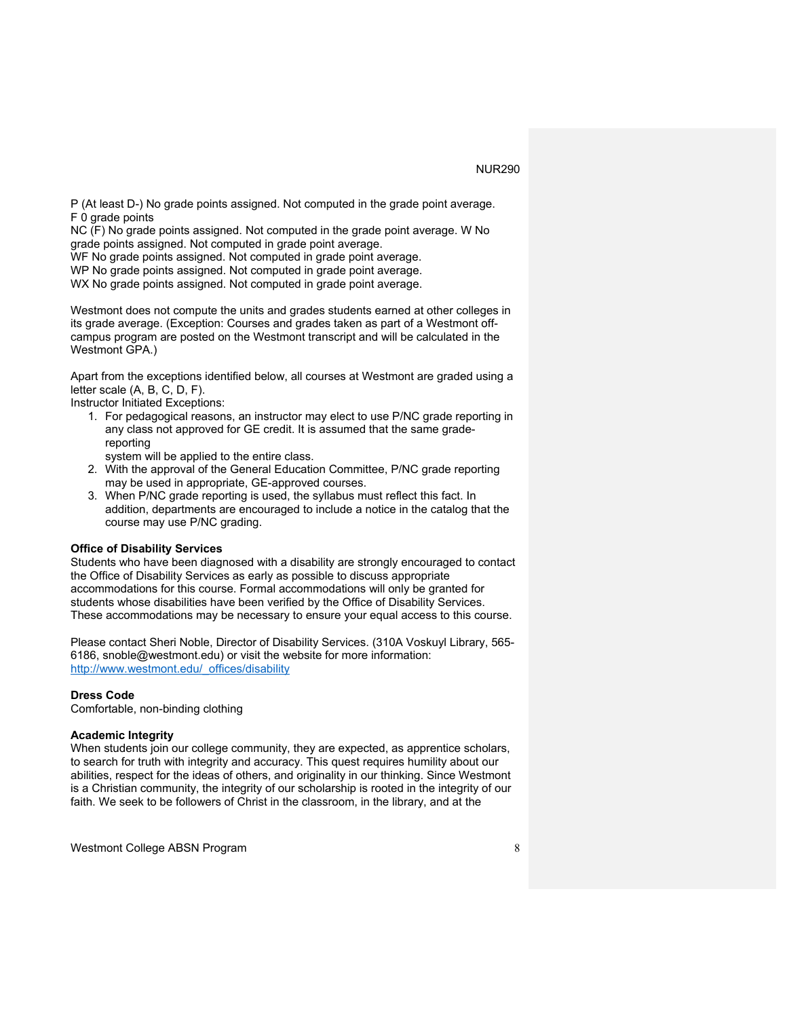P (At least D-) No grade points assigned. Not computed in the grade point average. F 0 grade points

NC (F) No grade points assigned. Not computed in the grade point average. W No grade points assigned. Not computed in grade point average.

WF No grade points assigned. Not computed in grade point average.

WP No grade points assigned. Not computed in grade point average.

WX No grade points assigned. Not computed in grade point average.

Westmont does not compute the units and grades students earned at other colleges in its grade average. (Exception: Courses and grades taken as part of a Westmont offcampus program are posted on the Westmont transcript and will be calculated in the Westmont GPA.)

Apart from the exceptions identified below, all courses at Westmont are graded using a letter scale (A, B, C, D, F).

Instructor Initiated Exceptions:

1. For pedagogical reasons, an instructor may elect to use P/NC grade reporting in any class not approved for GE credit. It is assumed that the same gradereporting

system will be applied to the entire class.

- 2. With the approval of the General Education Committee, P/NC grade reporting may be used in appropriate, GE-approved courses.
- 3. When P/NC grade reporting is used, the syllabus must reflect this fact. In addition, departments are encouraged to include a notice in the catalog that the course may use P/NC grading.

#### **Office of Disability Services**

Students who have been diagnosed with a disability are strongly encouraged to contact the Office of Disability Services as early as possible to discuss appropriate accommodations for this course. Formal accommodations will only be granted for students whose disabilities have been verified by the Office of Disability Services. These accommodations may be necessary to ensure your equal access to this course.

Please contact Sheri Noble, Director of Disability Services. (310A Voskuyl Library, 565- 6186, snoble@westmont.edu) or visit the website for more information: http://www.westmont.edu/\_offices/disability

#### **Dress Code**

Comfortable, non-binding clothing

#### **Academic Integrity**

When students join our college community, they are expected, as apprentice scholars, to search for truth with integrity and accuracy. This quest requires humility about our abilities, respect for the ideas of others, and originality in our thinking. Since Westmont is a Christian community, the integrity of our scholarship is rooted in the integrity of our faith. We seek to be followers of Christ in the classroom, in the library, and at the

Westmont College ABSN Program 8 and 8 and 8 and 8 and 8 and 8 and 8 and 8 and 8 and 8 and 8 and 8 and 8 and 8 and 8 and 8 and 8 and 8 and 8 and 8 and 8 and 8 and 8 and 8 and 8 and 8 and 8 and 8 and 8 and 8 and 8 and 8 and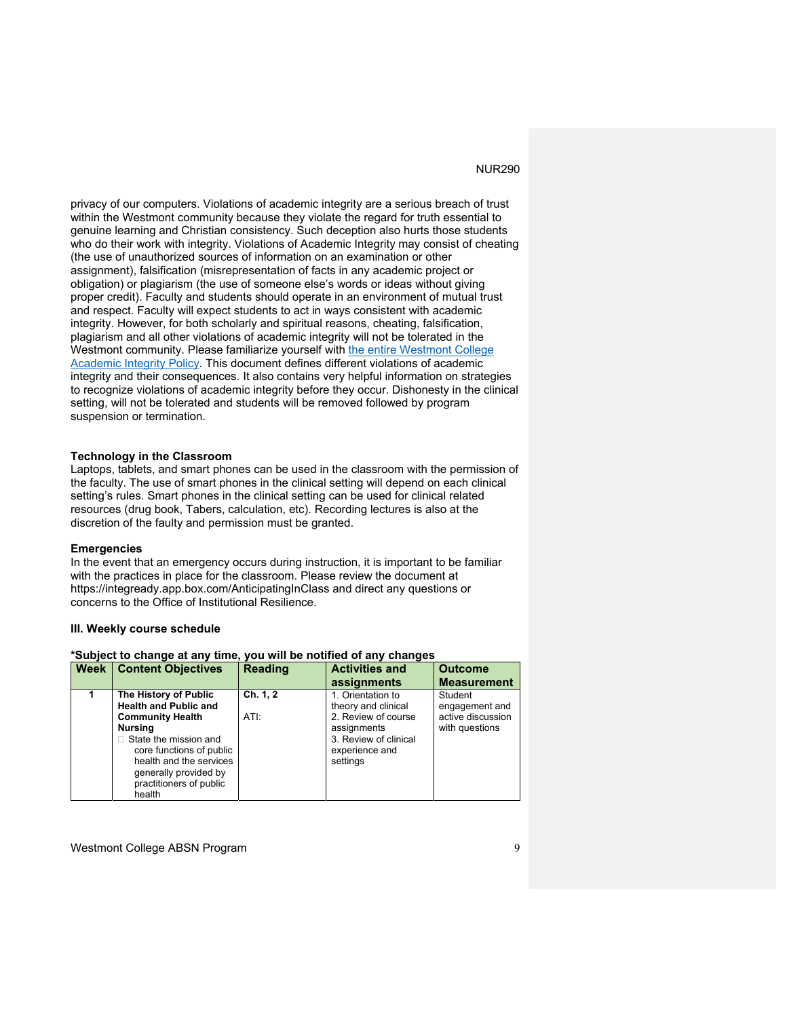privacy of our computers. Violations of academic integrity are a serious breach of trust within the Westmont community because they violate the regard for truth essential to genuine learning and Christian consistency. Such deception also hurts those students who do their work with integrity. Violations of Academic Integrity may consist of cheating (the use of unauthorized sources of information on an examination or other assignment), falsification (misrepresentation of facts in any academic project or obligation) or plagiarism (the use of someone else's words or ideas without giving proper credit). Faculty and students should operate in an environment of mutual trust and respect. Faculty will expect students to act in ways consistent with academic integrity. However, for both scholarly and spiritual reasons, cheating, falsification, plagiarism and all other violations of academic integrity will not be tolerated in the Westmont community. Please familiarize yourself with the entire Westmont College Academic Integrity Policy. This document defines different violations of academic integrity and their consequences. It also contains very helpful information on strategies to recognize violations of academic integrity before they occur. Dishonesty in the clinical setting, will not be tolerated and students will be removed followed by program suspension or termination.

#### **Technology in the Classroom**

Laptops, tablets, and smart phones can be used in the classroom with the permission of the faculty. The use of smart phones in the clinical setting will depend on each clinical setting's rules. Smart phones in the clinical setting can be used for clinical related resources (drug book, Tabers, calculation, etc). Recording lectures is also at the discretion of the faulty and permission must be granted.

#### **Emergencies**

In the event that an emergency occurs during instruction, it is important to be familiar with the practices in place for the classroom. Please review the document at https://integready.app.box.com/AnticipatingInClass and direct any questions or concerns to the Office of Institutional Resilience.

#### **III. Weekly course schedule**

#### **\*Subject to change at any time, you will be notified of any changes**

| Week | <b>Content Objectives</b>                                                                                                                                                                                                                               | <b>Reading</b>   | <b>Activities and</b><br>assignments                                                                                                  | <b>Outcome</b><br><b>Measurement</b>                             |
|------|---------------------------------------------------------------------------------------------------------------------------------------------------------------------------------------------------------------------------------------------------------|------------------|---------------------------------------------------------------------------------------------------------------------------------------|------------------------------------------------------------------|
|      | The History of Public<br><b>Health and Public and</b><br><b>Community Health</b><br><b>Nursing</b><br>$\Box$ State the mission and<br>core functions of public<br>health and the services<br>generally provided by<br>practitioners of public<br>health | Ch. 1, 2<br>ATI: | 1. Orientation to<br>theory and clinical<br>2. Review of course<br>assignments<br>3. Review of clinical<br>experience and<br>settings | Student<br>engagement and<br>active discussion<br>with questions |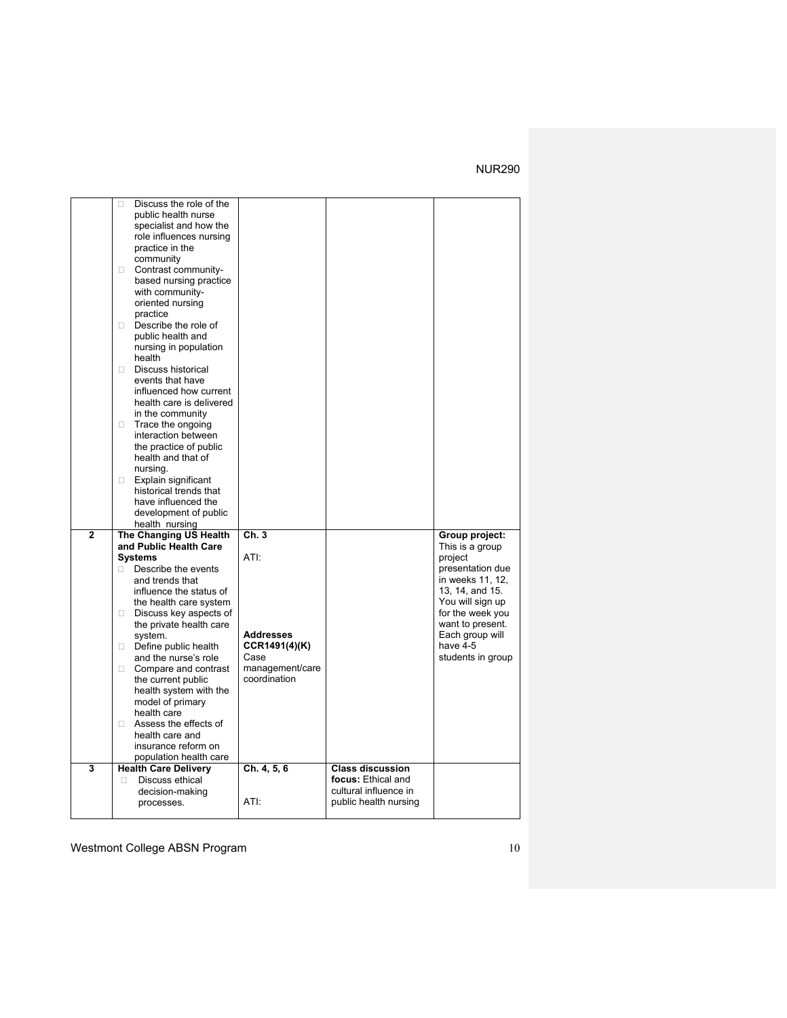|                | Discuss the role of the<br>п  |                  |                         |                   |
|----------------|-------------------------------|------------------|-------------------------|-------------------|
|                | public health nurse           |                  |                         |                   |
|                | specialist and how the        |                  |                         |                   |
|                | role influences nursing       |                  |                         |                   |
|                | practice in the               |                  |                         |                   |
|                | community                     |                  |                         |                   |
|                | Contrast community-<br>П.     |                  |                         |                   |
|                | based nursing practice        |                  |                         |                   |
|                | with community-               |                  |                         |                   |
|                |                               |                  |                         |                   |
|                | oriented nursing              |                  |                         |                   |
|                | practice                      |                  |                         |                   |
|                | Describe the role of<br>п.    |                  |                         |                   |
|                | public health and             |                  |                         |                   |
|                | nursing in population         |                  |                         |                   |
|                | health                        |                  |                         |                   |
|                | $\Box$<br>Discuss historical  |                  |                         |                   |
|                | events that have              |                  |                         |                   |
|                | influenced how current        |                  |                         |                   |
|                | health care is delivered      |                  |                         |                   |
|                | in the community              |                  |                         |                   |
|                | Trace the ongoing<br>0        |                  |                         |                   |
|                | interaction between           |                  |                         |                   |
|                | the practice of public        |                  |                         |                   |
|                | health and that of            |                  |                         |                   |
|                | nursina.                      |                  |                         |                   |
|                |                               |                  |                         |                   |
|                | Explain significant<br>$\Box$ |                  |                         |                   |
|                | historical trends that        |                  |                         |                   |
|                | have influenced the           |                  |                         |                   |
|                | development of public         |                  |                         |                   |
|                |                               |                  |                         |                   |
|                | health nursing                |                  |                         |                   |
| $\overline{2}$ | The Changing US Health        | Ch.3             |                         | Group project:    |
|                | and Public Health Care        |                  |                         | This is a group   |
|                | <b>Systems</b>                | ATI:             |                         | project           |
|                | Describe the events<br>П.     |                  |                         | presentation due  |
|                | and trends that               |                  |                         |                   |
|                |                               |                  |                         | in weeks 11, 12,  |
|                | influence the status of       |                  |                         | 13, 14, and 15.   |
|                | the health care system        |                  |                         | You will sign up  |
|                | Discuss key aspects of<br>П.  |                  |                         | for the week you  |
|                | the private health care       |                  |                         | want to present.  |
|                | system.                       | <b>Addresses</b> |                         | Each group will   |
|                | Define public health          | CCR1491(4)(K)    |                         | have 4-5          |
|                | and the nurse's role          | Case             |                         | students in group |
|                | Compare and contrast<br>П.    | management/care  |                         |                   |
|                | the current public            | coordination     |                         |                   |
|                | health system with the        |                  |                         |                   |
|                | model of primary              |                  |                         |                   |
|                | health care                   |                  |                         |                   |
|                | □ Assess the effects of       |                  |                         |                   |
|                | health care and               |                  |                         |                   |
|                | insurance reform on           |                  |                         |                   |
|                | population health care        |                  |                         |                   |
| 3              | <b>Health Care Delivery</b>   | Ch. 4, 5, 6      | <b>Class discussion</b> |                   |
|                | Discuss ethical<br>П          |                  | focus: Ethical and      |                   |
|                | decision-making               |                  | cultural influence in   |                   |
|                | processes.                    | ATI:             | public health nursing   |                   |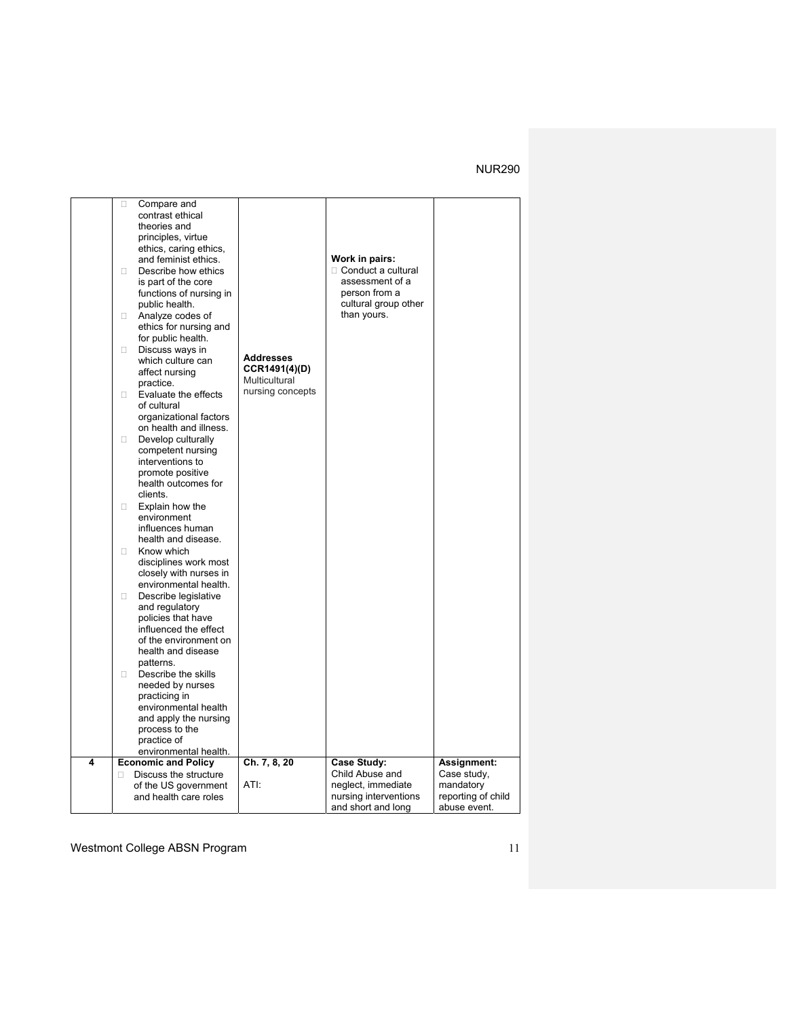|   | Compare and<br>□<br>contrast ethical<br>theories and<br>principles, virtue<br>ethics, caring ethics,<br>and feminist ethics.<br>Describe how ethics<br>П.<br>is part of the core<br>functions of nursing in<br>public health.<br>Analyze codes of<br>0<br>ethics for nursing and<br>for public health.<br>Discuss ways in<br>о<br>which culture can<br>affect nursing<br>practice.<br>Evaluate the effects<br>П.<br>of cultural<br>organizational factors<br>on health and illness.<br>Develop culturally<br>П.<br>competent nursing<br>interventions to<br>promote positive<br>health outcomes for<br>clients.<br>Explain how the<br>П.<br>environment<br>influences human<br>health and disease.<br>Know which<br>П<br>disciplines work most<br>closely with nurses in<br>environmental health.<br>Describe legislative<br>$\Box$<br>and regulatory<br>policies that have<br>influenced the effect<br>of the environment on<br>health and disease<br>patterns.<br>Describe the skills<br>П.<br>needed by nurses<br>practicing in<br>environmental health<br>and apply the nursing | <b>Addresses</b><br>CCR1491(4)(D)<br>Multicultural<br>nursing concepts | Work in pairs:<br>$\Box$ Conduct a cultural<br>assessment of a<br>person from a<br>cultural group other<br>than yours. |                    |
|---|-------------------------------------------------------------------------------------------------------------------------------------------------------------------------------------------------------------------------------------------------------------------------------------------------------------------------------------------------------------------------------------------------------------------------------------------------------------------------------------------------------------------------------------------------------------------------------------------------------------------------------------------------------------------------------------------------------------------------------------------------------------------------------------------------------------------------------------------------------------------------------------------------------------------------------------------------------------------------------------------------------------------------------------------------------------------------------------|------------------------------------------------------------------------|------------------------------------------------------------------------------------------------------------------------|--------------------|
|   |                                                                                                                                                                                                                                                                                                                                                                                                                                                                                                                                                                                                                                                                                                                                                                                                                                                                                                                                                                                                                                                                                     |                                                                        |                                                                                                                        |                    |
|   | process to the<br>practice of                                                                                                                                                                                                                                                                                                                                                                                                                                                                                                                                                                                                                                                                                                                                                                                                                                                                                                                                                                                                                                                       |                                                                        |                                                                                                                        |                    |
|   | environmental health.                                                                                                                                                                                                                                                                                                                                                                                                                                                                                                                                                                                                                                                                                                                                                                                                                                                                                                                                                                                                                                                               |                                                                        |                                                                                                                        |                    |
| 4 | <b>Economic and Policy</b>                                                                                                                                                                                                                                                                                                                                                                                                                                                                                                                                                                                                                                                                                                                                                                                                                                                                                                                                                                                                                                                          | Ch. 7, 8, 20                                                           | <b>Case Study:</b>                                                                                                     | Assignment:        |
|   | Discuss the structure<br>П.                                                                                                                                                                                                                                                                                                                                                                                                                                                                                                                                                                                                                                                                                                                                                                                                                                                                                                                                                                                                                                                         |                                                                        | Child Abuse and                                                                                                        | Case study,        |
|   | of the US government                                                                                                                                                                                                                                                                                                                                                                                                                                                                                                                                                                                                                                                                                                                                                                                                                                                                                                                                                                                                                                                                | ATI:                                                                   | neglect, immediate                                                                                                     | mandatory          |
|   | and health care roles                                                                                                                                                                                                                                                                                                                                                                                                                                                                                                                                                                                                                                                                                                                                                                                                                                                                                                                                                                                                                                                               |                                                                        | nursing interventions                                                                                                  | reporting of child |
|   |                                                                                                                                                                                                                                                                                                                                                                                                                                                                                                                                                                                                                                                                                                                                                                                                                                                                                                                                                                                                                                                                                     |                                                                        | and short and long                                                                                                     | abuse event.       |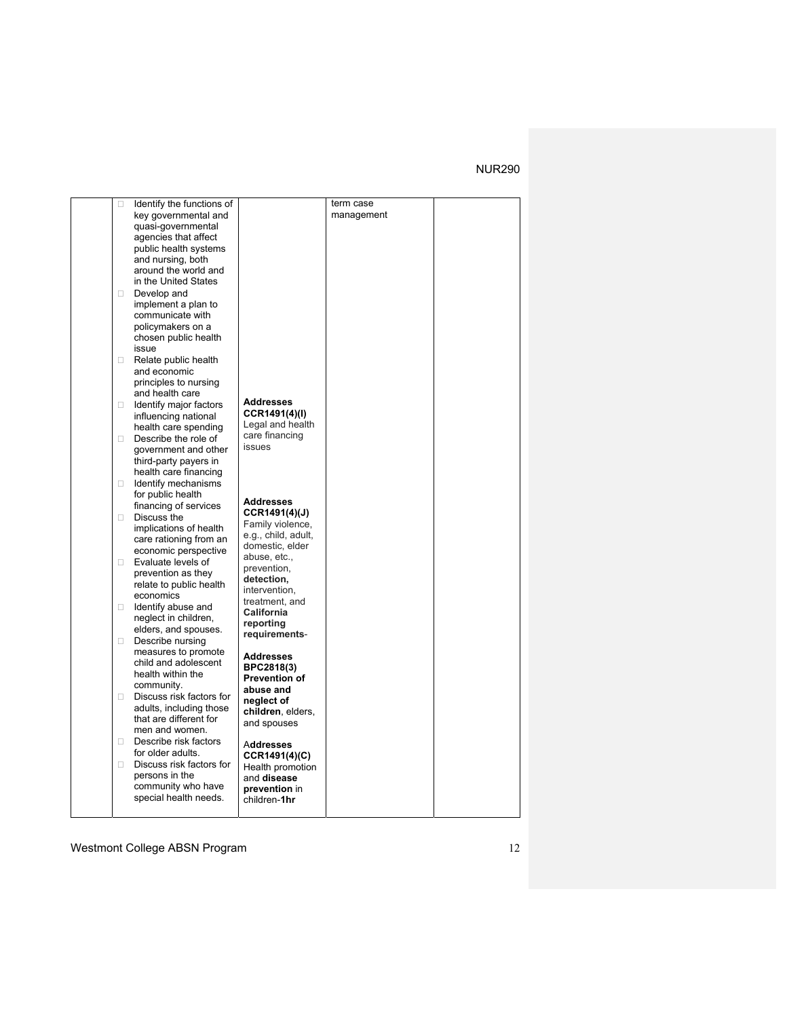| 0      | Identify the functions of                           |                      | term case  |  |
|--------|-----------------------------------------------------|----------------------|------------|--|
|        | key governmental and                                |                      | management |  |
|        | quasi-governmental                                  |                      |            |  |
|        | agencies that affect                                |                      |            |  |
|        | public health systems                               |                      |            |  |
|        | and nursing, both                                   |                      |            |  |
|        | around the world and                                |                      |            |  |
|        | in the United States                                |                      |            |  |
|        |                                                     |                      |            |  |
| П.     | Develop and                                         |                      |            |  |
|        | implement a plan to                                 |                      |            |  |
|        | communicate with                                    |                      |            |  |
|        | policymakers on a                                   |                      |            |  |
|        | chosen public health                                |                      |            |  |
|        | issue                                               |                      |            |  |
| $\Box$ | Relate public health                                |                      |            |  |
|        | and economic                                        |                      |            |  |
|        | principles to nursing                               |                      |            |  |
|        | and health care                                     |                      |            |  |
| П.     | Identify major factors                              | <b>Addresses</b>     |            |  |
|        | influencing national                                | CCR1491(4)(I)        |            |  |
|        | health care spending                                | Legal and health     |            |  |
| П.     | Describe the role of                                | care financing       |            |  |
|        | government and other                                | issues               |            |  |
|        | third-party payers in                               |                      |            |  |
|        | health care financing                               |                      |            |  |
| $\Box$ | Identify mechanisms                                 |                      |            |  |
|        | for public health                                   |                      |            |  |
|        | financing of services                               | <b>Addresses</b>     |            |  |
| $\Box$ | Discuss the                                         | CCR1491(4)(J)        |            |  |
|        | implications of health                              | Family violence,     |            |  |
|        | care rationing from an                              | e.g., child, adult,  |            |  |
|        | economic perspective                                | domestic, elder      |            |  |
| $\Box$ | Evaluate levels of                                  | abuse, etc.,         |            |  |
|        | prevention as they                                  | prevention,          |            |  |
|        | relate to public health                             | detection,           |            |  |
|        | economics                                           | intervention,        |            |  |
| П.     | Identify abuse and                                  | treatment, and       |            |  |
|        | neglect in children,                                | California           |            |  |
|        | elders, and spouses.                                | reporting            |            |  |
| 0      | Describe nursing                                    | requirements-        |            |  |
|        | measures to promote                                 |                      |            |  |
|        | child and adolescent                                | <b>Addresses</b>     |            |  |
|        | health within the                                   | BPC2818(3)           |            |  |
|        | community.                                          | <b>Prevention of</b> |            |  |
|        |                                                     | abuse and            |            |  |
| $\Box$ | Discuss risk factors for<br>adults, including those | neglect of           |            |  |
|        | that are different for                              | children, elders,    |            |  |
|        | men and women.                                      | and spouses          |            |  |
|        | Describe risk factors                               |                      |            |  |
| П.     |                                                     | Addresses            |            |  |
|        | for older adults.                                   | CCR1491(4)(C)        |            |  |
| 0      | Discuss risk factors for                            | Health promotion     |            |  |
|        | persons in the                                      | and disease          |            |  |
|        | community who have                                  | prevention in        |            |  |
|        | special health needs.                               | children-1hr         |            |  |
|        |                                                     |                      |            |  |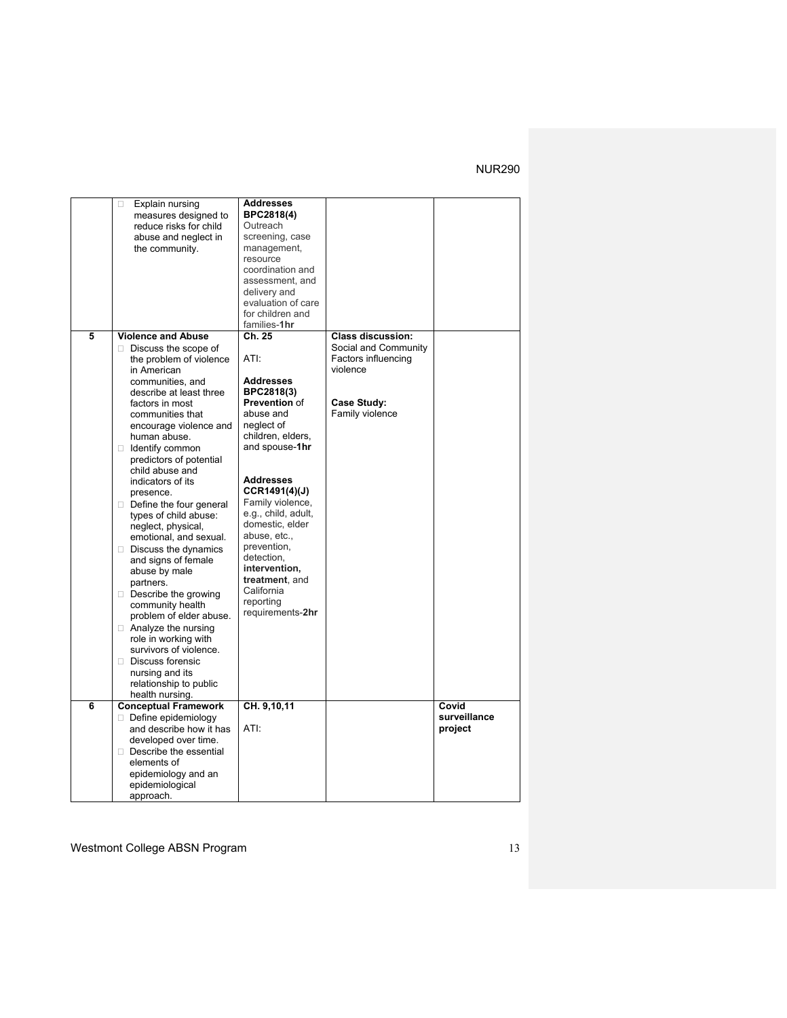|   | Explain nursing<br>$\Box$   | <b>Addresses</b>            |                          |              |
|---|-----------------------------|-----------------------------|--------------------------|--------------|
|   | measures designed to        | BPC2818(4)<br>Outreach      |                          |              |
|   | reduce risks for child      |                             |                          |              |
|   | abuse and neglect in        | screening, case             |                          |              |
|   | the community.              | management,                 |                          |              |
|   |                             | resource                    |                          |              |
|   |                             | coordination and            |                          |              |
|   |                             | assessment, and             |                          |              |
|   |                             | delivery and                |                          |              |
|   |                             | evaluation of care          |                          |              |
|   |                             | for children and            |                          |              |
| 5 |                             | families-1hr<br>Ch. 25      |                          |              |
|   | <b>Violence and Abuse</b>   |                             | <b>Class discussion:</b> |              |
|   | $\Box$ Discuss the scope of | ATI:                        | Social and Community     |              |
|   | the problem of violence     |                             | Factors influencing      |              |
|   | in American                 |                             | violence                 |              |
|   | communities, and            | <b>Addresses</b>            |                          |              |
|   | describe at least three     | BPC2818(3)<br>Prevention of |                          |              |
|   | factors in most             | abuse and                   | Case Study:              |              |
|   | communities that            | neglect of                  | Family violence          |              |
|   | encourage violence and      |                             |                          |              |
|   | human abuse.                | children, elders,           |                          |              |
|   | dentify common              | and spouse-1hr              |                          |              |
|   | predictors of potential     |                             |                          |              |
|   | child abuse and             | <b>Addresses</b>            |                          |              |
|   | indicators of its           | CCR1491(4)(J)               |                          |              |
|   | presence.                   | Family violence,            |                          |              |
|   | Define the four general     | e.g., child, adult,         |                          |              |
|   | types of child abuse:       | domestic, elder             |                          |              |
|   | neglect, physical,          | abuse, etc.,                |                          |              |
|   | emotional, and sexual.      | prevention,                 |                          |              |
|   | $\Box$ Discuss the dynamics | detection,                  |                          |              |
|   | and signs of female         | intervention.               |                          |              |
|   | abuse by male               | treatment, and              |                          |              |
|   | partners.                   | California                  |                          |              |
|   | $\Box$ Describe the growing | reporting                   |                          |              |
|   | community health            | requirements-2hr            |                          |              |
|   | problem of elder abuse.     |                             |                          |              |
|   | □ Analyze the nursing       |                             |                          |              |
|   | role in working with        |                             |                          |              |
|   | survivors of violence.      |                             |                          |              |
|   | Discuss forensic            |                             |                          |              |
|   | nursing and its             |                             |                          |              |
|   | relationship to public      |                             |                          |              |
|   | health nursing.             |                             |                          |              |
| 6 | <b>Conceptual Framework</b> | CH. 9,10,11                 |                          | Covid        |
|   | $\Box$ Define epidemiology  |                             |                          | surveillance |
|   | and describe how it has     | ATI:                        |                          | project      |
|   | developed over time.        |                             |                          |              |
|   | Describe the essential      |                             |                          |              |
|   | elements of                 |                             |                          |              |
|   | epidemiology and an         |                             |                          |              |
|   | epidemiological             |                             |                          |              |
|   | approach.                   |                             |                          |              |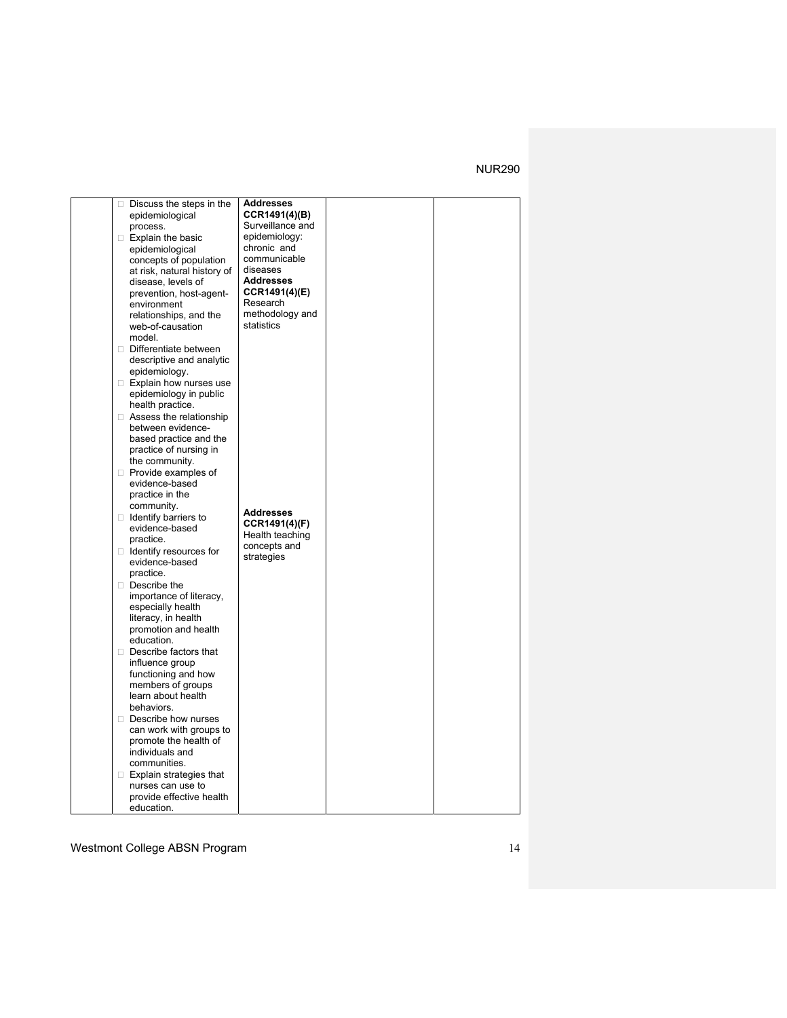|  | $\Box$ Discuss the steps in the                  | <b>Addresses</b>          |  |
|--|--------------------------------------------------|---------------------------|--|
|  | epidemiological                                  | CCR1491(4)(B)             |  |
|  | process.                                         | Surveillance and          |  |
|  | $\Box$ Explain the basic                         | epidemiology:             |  |
|  | epidemiological                                  | chronic and               |  |
|  | concepts of population                           | communicable              |  |
|  | at risk, natural history of                      | diseases                  |  |
|  | disease, levels of                               | <b>Addresses</b>          |  |
|  | prevention, host-agent-                          | CCR1491(4)(E)<br>Research |  |
|  | environment                                      | methodology and           |  |
|  | relationships, and the<br>web-of-causation       | statistics                |  |
|  | model.                                           |                           |  |
|  | Differentiate between                            |                           |  |
|  | descriptive and analytic                         |                           |  |
|  | epidemiology.                                    |                           |  |
|  | Explain how nurses use                           |                           |  |
|  | epidemiology in public                           |                           |  |
|  | health practice.                                 |                           |  |
|  | $\Box$ Assess the relationship                   |                           |  |
|  | between evidence-                                |                           |  |
|  | based practice and the                           |                           |  |
|  | practice of nursing in                           |                           |  |
|  | the community.                                   |                           |  |
|  | $\Box$ Provide examples of                       |                           |  |
|  | evidence-based                                   |                           |  |
|  | practice in the                                  |                           |  |
|  | community.                                       | <b>Addresses</b>          |  |
|  | $\Box$ Identify barriers to                      | CCR1491(4)(F)             |  |
|  | evidence-based                                   | Health teaching           |  |
|  | practice.                                        | concepts and              |  |
|  | $\Box$ Identify resources for<br>evidence-based  | strategies                |  |
|  | practice.                                        |                           |  |
|  | $\Box$ Describe the                              |                           |  |
|  | importance of literacy,                          |                           |  |
|  | especially health                                |                           |  |
|  | literacy, in health                              |                           |  |
|  | promotion and health                             |                           |  |
|  | education.                                       |                           |  |
|  | Describe factors that                            |                           |  |
|  | influence group                                  |                           |  |
|  | functioning and how                              |                           |  |
|  | members of groups                                |                           |  |
|  | learn about health                               |                           |  |
|  | behaviors.                                       |                           |  |
|  | $\Box$ Describe how nurses                       |                           |  |
|  | can work with groups to<br>promote the health of |                           |  |
|  | individuals and                                  |                           |  |
|  | communities.                                     |                           |  |
|  | $\Box$ Explain strategies that                   |                           |  |
|  | nurses can use to                                |                           |  |
|  | provide effective health                         |                           |  |
|  | education.                                       |                           |  |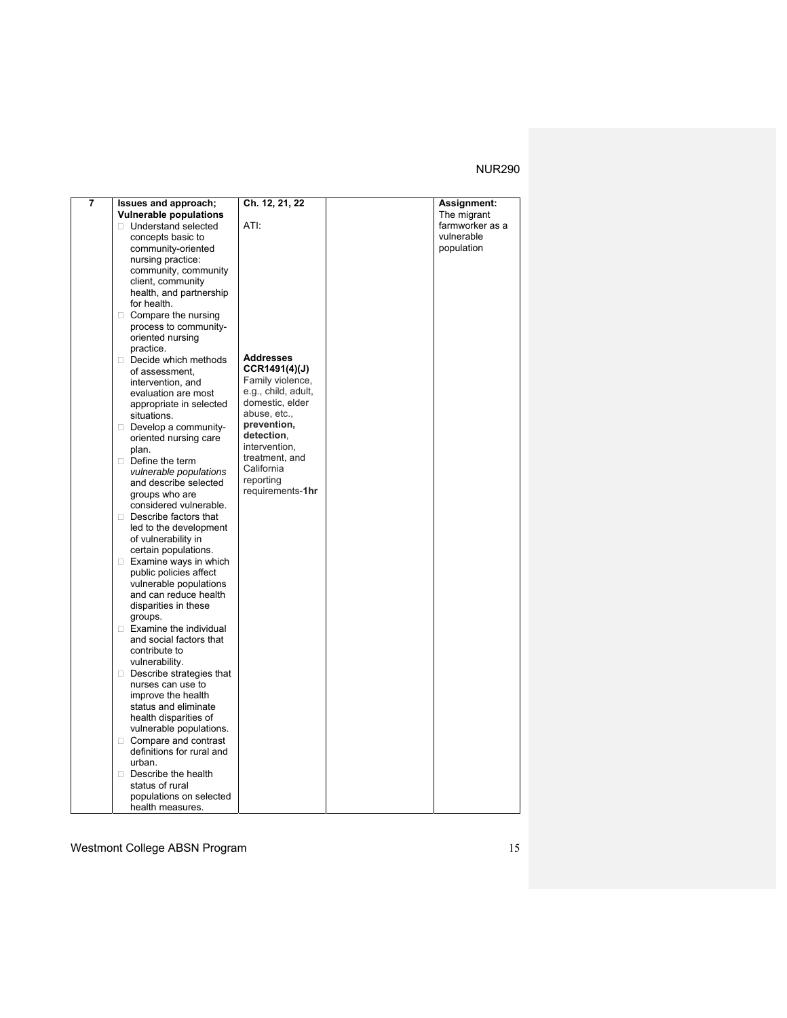| 7 | Issues and approach;<br><b>Vulnerable populations</b> | Ch. 12, 21, 22      | <b>Assignment:</b><br>The migrant |
|---|-------------------------------------------------------|---------------------|-----------------------------------|
|   | □ Understand selected                                 | ATI:                | farmworker as a                   |
|   |                                                       |                     | vulnerable                        |
|   | concepts basic to                                     |                     |                                   |
|   | community-oriented                                    |                     | population                        |
|   | nursing practice:                                     |                     |                                   |
|   | community, community                                  |                     |                                   |
|   | client, community                                     |                     |                                   |
|   | health, and partnership                               |                     |                                   |
|   | for health.                                           |                     |                                   |
|   | $\Box$ Compare the nursing                            |                     |                                   |
|   | process to community-                                 |                     |                                   |
|   | oriented nursing                                      |                     |                                   |
|   | practice.                                             |                     |                                   |
|   | Decide which methods                                  | <b>Addresses</b>    |                                   |
|   | of assessment,                                        | CCR1491(4)(J)       |                                   |
|   | intervention, and                                     | Family violence,    |                                   |
|   | evaluation are most                                   | e.g., child, adult, |                                   |
|   | appropriate in selected                               | domestic, elder     |                                   |
|   | situations.                                           | abuse, etc.,        |                                   |
|   | $\Box$ Develop a community-                           | prevention,         |                                   |
|   | oriented nursing care                                 | detection.          |                                   |
|   | plan.                                                 | intervention.       |                                   |
|   | $\Box$ Define the term                                | treatment, and      |                                   |
|   | vulnerable populations                                | California          |                                   |
|   | and describe selected                                 | reporting           |                                   |
|   | groups who are                                        | requirements-1hr    |                                   |
|   | considered vulnerable.                                |                     |                                   |
|   |                                                       |                     |                                   |
|   | $\Box$ Describe factors that                          |                     |                                   |
|   | led to the development                                |                     |                                   |
|   | of vulnerability in                                   |                     |                                   |
|   | certain populations.                                  |                     |                                   |
|   | $\Box$ Examine ways in which                          |                     |                                   |
|   | public policies affect                                |                     |                                   |
|   | vulnerable populations                                |                     |                                   |
|   | and can reduce health                                 |                     |                                   |
|   | disparities in these                                  |                     |                                   |
|   | groups.                                               |                     |                                   |
|   | Examine the individual                                |                     |                                   |
|   | and social factors that                               |                     |                                   |
|   | contribute to                                         |                     |                                   |
|   | vulnerability.                                        |                     |                                   |
|   | $\Box$ Describe strategies that                       |                     |                                   |
|   | nurses can use to                                     |                     |                                   |
|   | improve the health                                    |                     |                                   |
|   | status and eliminate                                  |                     |                                   |
|   | health disparities of                                 |                     |                                   |
|   | vulnerable populations.                               |                     |                                   |
|   | □ Compare and contrast                                |                     |                                   |
|   | definitions for rural and                             |                     |                                   |
|   | urban.                                                |                     |                                   |
|   | $\Box$ Describe the health                            |                     |                                   |
|   | status of rural                                       |                     |                                   |
|   | populations on selected                               |                     |                                   |
|   | health measures.                                      |                     |                                   |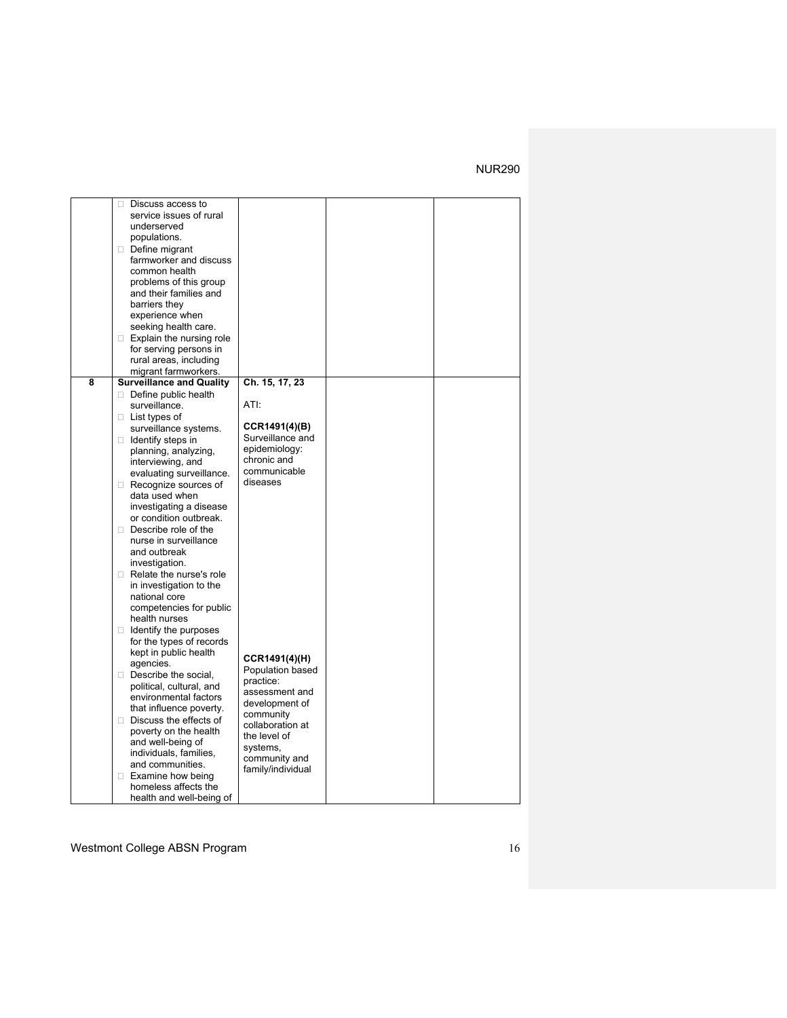|   | Discuss access to<br>0          |                   |  |
|---|---------------------------------|-------------------|--|
|   | service issues of rural         |                   |  |
|   | underserved                     |                   |  |
|   | populations.                    |                   |  |
|   |                                 |                   |  |
|   | Define migrant                  |                   |  |
|   | farmworker and discuss          |                   |  |
|   | common health                   |                   |  |
|   | problems of this group          |                   |  |
|   | and their families and          |                   |  |
|   | barriers they                   |                   |  |
|   | experience when                 |                   |  |
|   | seeking health care.            |                   |  |
|   | $\Box$ Explain the nursing role |                   |  |
|   | for serving persons in          |                   |  |
|   | rural areas, including          |                   |  |
|   | migrant farmworkers.            |                   |  |
| 8 | <b>Surveillance and Quality</b> | Ch. 15, 17, 23    |  |
|   | Define public health            |                   |  |
|   |                                 | ATI:              |  |
|   | surveillance.                   |                   |  |
|   | $\Box$ List types of            |                   |  |
|   | surveillance systems.           | CCR1491(4)(B)     |  |
|   | $\Box$ Identify steps in        | Surveillance and  |  |
|   | planning, analyzing,            | epidemiology:     |  |
|   | interviewing, and               | chronic and       |  |
|   | evaluating surveillance.        | communicable      |  |
|   | Recognize sources of            | diseases          |  |
|   | data used when                  |                   |  |
|   | investigating a disease         |                   |  |
|   | or condition outbreak.          |                   |  |
|   | $\Box$ Describe role of the     |                   |  |
|   | nurse in surveillance           |                   |  |
|   | and outbreak                    |                   |  |
|   |                                 |                   |  |
|   | investigation.                  |                   |  |
|   | Relate the nurse's role         |                   |  |
|   | in investigation to the         |                   |  |
|   | national core                   |                   |  |
|   | competencies for public         |                   |  |
|   | health nurses                   |                   |  |
|   | $\Box$ Identify the purposes    |                   |  |
|   | for the types of records        |                   |  |
|   | kept in public health           | CCR1491(4)(H)     |  |
|   | agencies.                       | Population based  |  |
|   | Describe the social,            |                   |  |
|   | political, cultural, and        | practice:         |  |
|   | environmental factors           | assessment and    |  |
|   | that influence poverty.         | development of    |  |
|   | Discuss the effects of          | community         |  |
|   | poverty on the health           | collaboration at  |  |
|   | and well-being of               | the level of      |  |
|   | individuals, families,          | systems,          |  |
|   | and communities.                | community and     |  |
|   | $\Box$ Examine how being        | family/individual |  |
|   |                                 |                   |  |
|   | homeless affects the            |                   |  |
|   | health and well-being of        |                   |  |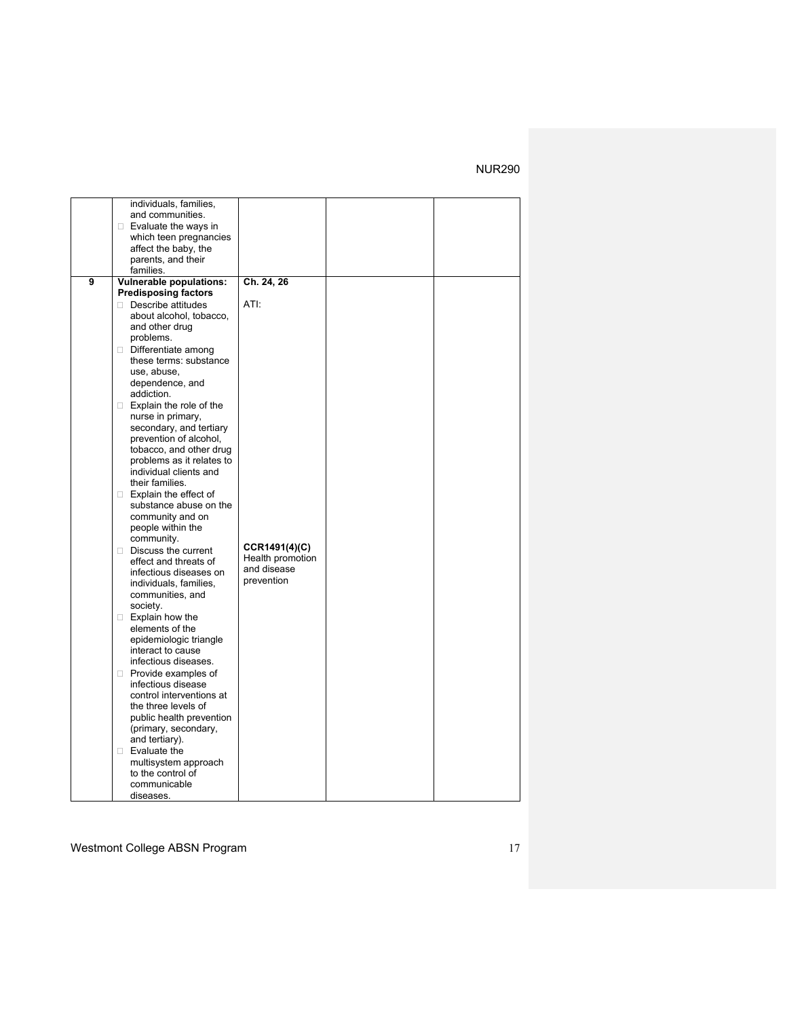|   | individuals, families,                               |                  |  |
|---|------------------------------------------------------|------------------|--|
|   | and communities.                                     |                  |  |
|   | $\Box$ Evaluate the ways in                          |                  |  |
|   | which teen pregnancies                               |                  |  |
|   | affect the baby, the                                 |                  |  |
|   | parents, and their                                   |                  |  |
|   | families.                                            |                  |  |
| 9 | <b>Vulnerable populations:</b>                       | Ch. 24, 26       |  |
|   | <b>Predisposing factors</b>                          |                  |  |
|   | $\Box$ Describe attitudes                            | ATI:             |  |
|   | about alcohol, tobacco.                              |                  |  |
|   | and other drug                                       |                  |  |
|   | problems.                                            |                  |  |
|   | Differentiate among                                  |                  |  |
|   | these terms: substance                               |                  |  |
|   | use, abuse,                                          |                  |  |
|   | dependence, and                                      |                  |  |
|   | addiction.                                           |                  |  |
|   | $\Box$ Explain the role of the                       |                  |  |
|   | nurse in primary,                                    |                  |  |
|   | secondary, and tertiary                              |                  |  |
|   | prevention of alcohol,                               |                  |  |
|   | tobacco, and other drug<br>problems as it relates to |                  |  |
|   | individual clients and                               |                  |  |
|   | their families.                                      |                  |  |
|   | $\Box$ Explain the effect of                         |                  |  |
|   | substance abuse on the                               |                  |  |
|   | community and on                                     |                  |  |
|   | people within the                                    |                  |  |
|   | community.                                           |                  |  |
|   | $\Box$ Discuss the current                           | CCR1491(4)(C)    |  |
|   | effect and threats of                                | Health promotion |  |
|   | infectious diseases on                               | and disease      |  |
|   | individuals, families,                               | prevention       |  |
|   | communities, and                                     |                  |  |
|   | society.                                             |                  |  |
|   | $\Box$ Explain how the                               |                  |  |
|   | elements of the                                      |                  |  |
|   | epidemiologic triangle                               |                  |  |
|   | interact to cause                                    |                  |  |
|   | infectious diseases.                                 |                  |  |
|   | Provide examples of                                  |                  |  |
|   | infectious disease                                   |                  |  |
|   | control interventions at                             |                  |  |
|   | the three levels of                                  |                  |  |
|   | public health prevention                             |                  |  |
|   | (primary, secondary,<br>and tertiary).               |                  |  |
|   | $\Box$ Evaluate the                                  |                  |  |
|   | multisystem approach                                 |                  |  |
|   | to the control of                                    |                  |  |
|   | communicable                                         |                  |  |
|   | diseases.                                            |                  |  |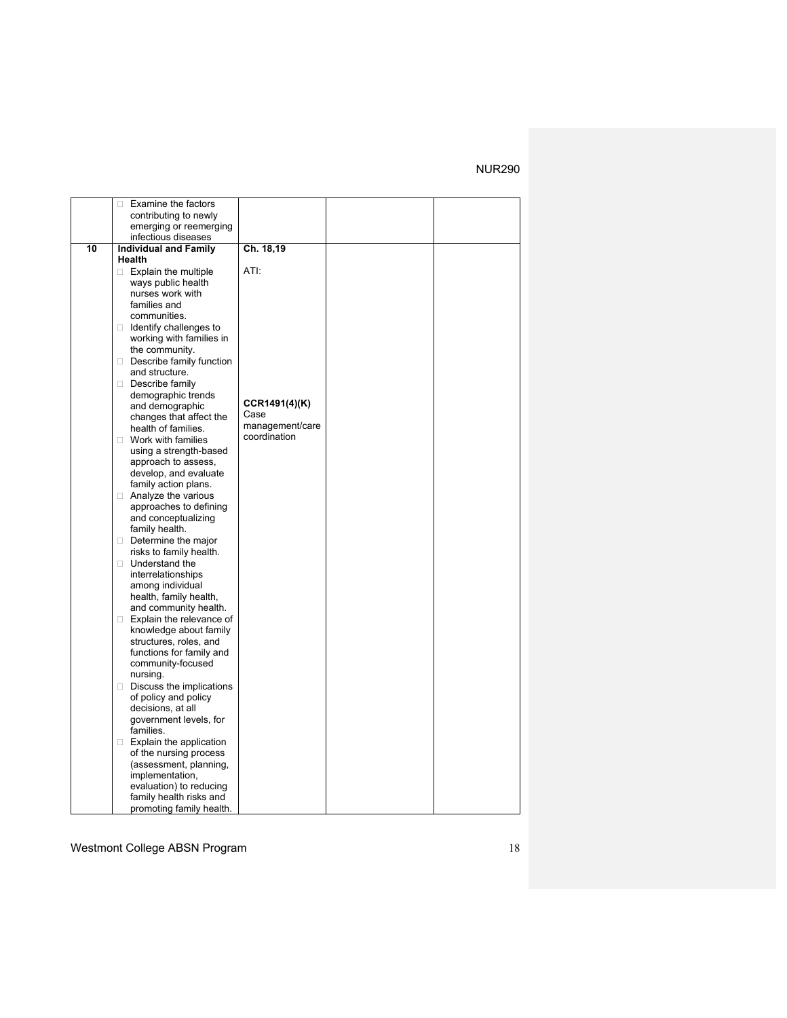|    | Examine the factors<br>O.                          |                                 |  |
|----|----------------------------------------------------|---------------------------------|--|
|    | contributing to newly                              |                                 |  |
|    | emerging or reemerging                             |                                 |  |
|    | infectious diseases                                |                                 |  |
| 10 | <b>Individual and Family</b>                       | Ch. 18,19                       |  |
|    | Health                                             |                                 |  |
|    | $\Box$ Explain the multiple                        | ATI:                            |  |
|    | ways public health                                 |                                 |  |
|    | nurses work with                                   |                                 |  |
|    | families and                                       |                                 |  |
|    | communities.                                       |                                 |  |
|    | $\Box$ Identify challenges to                      |                                 |  |
|    | working with families in                           |                                 |  |
|    | the community.                                     |                                 |  |
|    | Describe family function                           |                                 |  |
|    | and structure.                                     |                                 |  |
|    | Describe family                                    |                                 |  |
|    | demographic trends                                 |                                 |  |
|    | and demographic                                    | CCR1491(4)(K)                   |  |
|    | changes that affect the                            | Case                            |  |
|    | health of families.                                | management/care<br>coordination |  |
|    | □ Work with families                               |                                 |  |
|    | using a strength-based                             |                                 |  |
|    | approach to assess,                                |                                 |  |
|    | develop, and evaluate                              |                                 |  |
|    | family action plans.                               |                                 |  |
|    | Analyze the various                                |                                 |  |
|    | approaches to defining                             |                                 |  |
|    | and conceptualizing                                |                                 |  |
|    | family health.                                     |                                 |  |
|    | $\Box$ Determine the major                         |                                 |  |
|    | risks to family health.                            |                                 |  |
|    | □ Understand the                                   |                                 |  |
|    | interrelationships                                 |                                 |  |
|    | among individual                                   |                                 |  |
|    | health, family health,                             |                                 |  |
|    | and community health.                              |                                 |  |
|    | □ Explain the relevance of                         |                                 |  |
|    | knowledge about family                             |                                 |  |
|    | structures, roles, and<br>functions for family and |                                 |  |
|    |                                                    |                                 |  |
|    | community-focused<br>nursing.                      |                                 |  |
|    | $\Box$ Discuss the implications                    |                                 |  |
|    | of policy and policy                               |                                 |  |
|    | decisions, at all                                  |                                 |  |
|    | government levels, for                             |                                 |  |
|    | families.                                          |                                 |  |
|    | Explain the application                            |                                 |  |
|    | of the nursing process                             |                                 |  |
|    | (assessment, planning,                             |                                 |  |
|    | implementation,                                    |                                 |  |
|    | evaluation) to reducing                            |                                 |  |
|    | family health risks and                            |                                 |  |
|    | promoting family health.                           |                                 |  |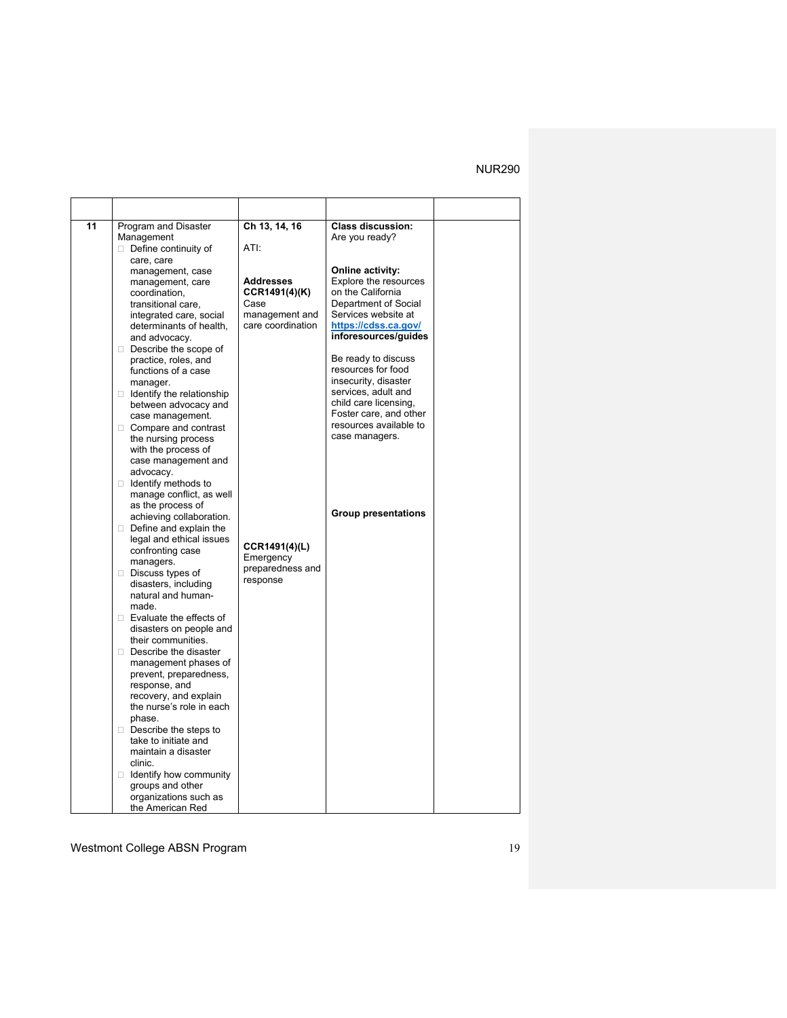| 11 | Program and Disaster                              | Ch 13, 14, 16     | <b>Class discussion:</b>                     |  |
|----|---------------------------------------------------|-------------------|----------------------------------------------|--|
|    | Management                                        |                   | Are you ready?                               |  |
|    | $\Box$ Define continuity of                       | ATI:              |                                              |  |
|    | care, care                                        |                   |                                              |  |
|    | management, case                                  |                   | Online activity:                             |  |
|    | management, care                                  | <b>Addresses</b>  | Explore the resources                        |  |
|    | coordination,                                     | CCR1491(4)(K)     | on the California                            |  |
|    | transitional care,                                | Case              | Department of Social                         |  |
|    | integrated care, social                           | management and    | Services website at                          |  |
|    | determinants of health,                           | care coordination | https://cdss.ca.gov/<br>inforesources/guides |  |
|    | and advocacy.                                     |                   |                                              |  |
|    | Describe the scope of<br>practice, roles, and     |                   | Be ready to discuss                          |  |
|    | functions of a case                               |                   | resources for food                           |  |
|    | manager.                                          |                   | insecurity, disaster                         |  |
|    | $\Box$ Identify the relationship                  |                   | services, adult and                          |  |
|    | between advocacy and                              |                   | child care licensing,                        |  |
|    | case management.                                  |                   | Foster care, and other                       |  |
|    | □ Compare and contrast                            |                   | resources available to                       |  |
|    | the nursing process                               |                   | case managers.                               |  |
|    | with the process of                               |                   |                                              |  |
|    | case management and                               |                   |                                              |  |
|    | advocacy.                                         |                   |                                              |  |
|    | $\Box$ Identify methods to                        |                   |                                              |  |
|    | manage conflict, as well                          |                   |                                              |  |
|    | as the process of                                 |                   | <b>Group presentations</b>                   |  |
|    | achieving collaboration.                          |                   |                                              |  |
|    | $\Box$ Define and explain the                     |                   |                                              |  |
|    | legal and ethical issues                          | CCR1491(4)(L)     |                                              |  |
|    | confronting case                                  | Emergency         |                                              |  |
|    | managers.                                         | preparedness and  |                                              |  |
|    | $\Box$ Discuss types of<br>disasters, including   | response          |                                              |  |
|    | natural and human-                                |                   |                                              |  |
|    | made.                                             |                   |                                              |  |
|    | □ Evaluate the effects of                         |                   |                                              |  |
|    | disasters on people and                           |                   |                                              |  |
|    | their communities.                                |                   |                                              |  |
|    | Describe the disaster                             |                   |                                              |  |
|    | management phases of                              |                   |                                              |  |
|    | prevent, preparedness,                            |                   |                                              |  |
|    | response, and                                     |                   |                                              |  |
|    | recovery, and explain                             |                   |                                              |  |
|    | the nurse's role in each                          |                   |                                              |  |
|    | phase.                                            |                   |                                              |  |
|    | $\Box$ Describe the steps to                      |                   |                                              |  |
|    | take to initiate and                              |                   |                                              |  |
|    | maintain a disaster                               |                   |                                              |  |
|    | clinic.                                           |                   |                                              |  |
|    | $\Box$ Identify how community<br>groups and other |                   |                                              |  |
|    | organizations such as                             |                   |                                              |  |
|    | the American Red                                  |                   |                                              |  |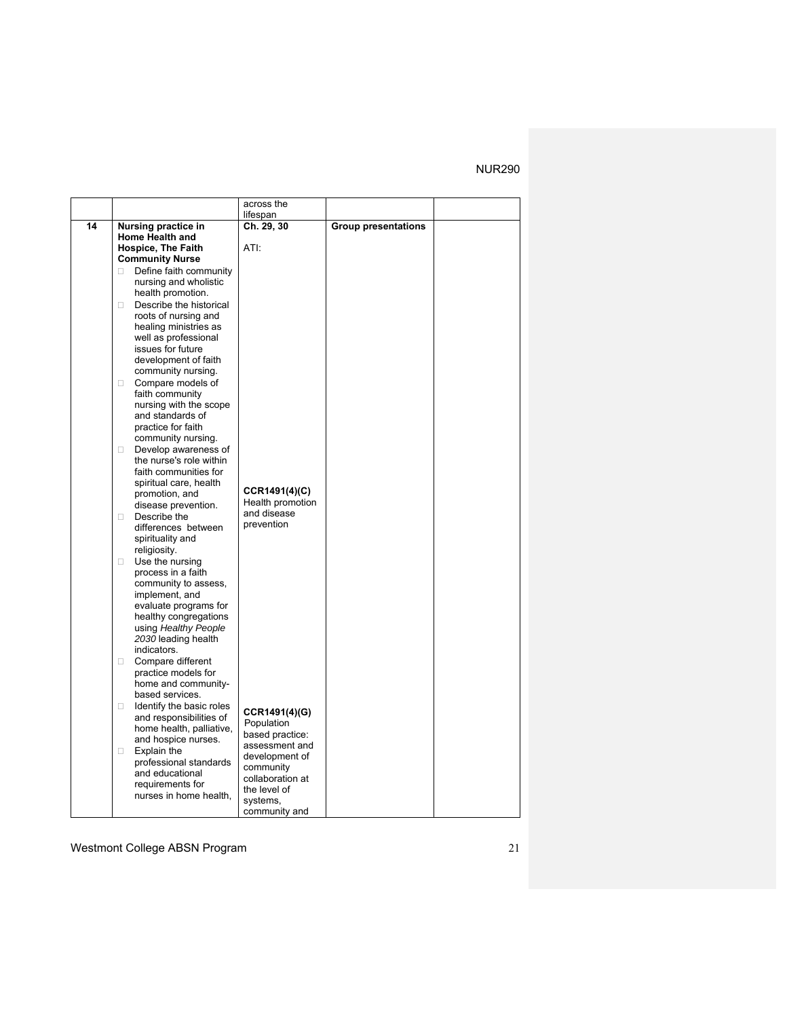|    |                                                    | across the                       |                            |  |
|----|----------------------------------------------------|----------------------------------|----------------------------|--|
|    |                                                    | lifespan                         |                            |  |
| 14 | Nursing practice in                                | Ch. 29, 30                       | <b>Group presentations</b> |  |
|    | <b>Home Health and</b>                             |                                  |                            |  |
|    | <b>Hospice, The Faith</b>                          | ATI:                             |                            |  |
|    | <b>Community Nurse</b>                             |                                  |                            |  |
|    | Define faith community<br>П.                       |                                  |                            |  |
|    | nursing and wholistic                              |                                  |                            |  |
|    | health promotion.                                  |                                  |                            |  |
|    | Describe the historical<br>$\Box$                  |                                  |                            |  |
|    | roots of nursing and                               |                                  |                            |  |
|    | healing ministries as                              |                                  |                            |  |
|    | well as professional                               |                                  |                            |  |
|    | issues for future<br>development of faith          |                                  |                            |  |
|    | community nursing.                                 |                                  |                            |  |
|    | Compare models of<br>$\Box$                        |                                  |                            |  |
|    | faith community                                    |                                  |                            |  |
|    | nursing with the scope                             |                                  |                            |  |
|    | and standards of                                   |                                  |                            |  |
|    | practice for faith                                 |                                  |                            |  |
|    | community nursing.                                 |                                  |                            |  |
|    | Develop awareness of<br>П.                         |                                  |                            |  |
|    | the nurse's role within                            |                                  |                            |  |
|    | faith communities for                              |                                  |                            |  |
|    | spiritual care, health                             | CCR1491(4)(C)                    |                            |  |
|    | promotion, and                                     | Health promotion                 |                            |  |
|    | disease prevention.                                | and disease                      |                            |  |
|    | Describe the<br>$\Box$<br>differences between      | prevention                       |                            |  |
|    | spirituality and                                   |                                  |                            |  |
|    | religiosity.                                       |                                  |                            |  |
|    | Use the nursing<br>$\Box$                          |                                  |                            |  |
|    | process in a faith                                 |                                  |                            |  |
|    | community to assess,                               |                                  |                            |  |
|    | implement, and                                     |                                  |                            |  |
|    | evaluate programs for                              |                                  |                            |  |
|    | healthy congregations                              |                                  |                            |  |
|    | using Healthy People                               |                                  |                            |  |
|    | 2030 leading health                                |                                  |                            |  |
|    | indicators.                                        |                                  |                            |  |
|    | Compare different<br>$\Box$<br>practice models for |                                  |                            |  |
|    | home and community-                                |                                  |                            |  |
|    | based services.                                    |                                  |                            |  |
|    | Identify the basic roles<br>$\Box$                 |                                  |                            |  |
|    | and responsibilities of                            | CCR1491(4)(G)                    |                            |  |
|    | home health, palliative,                           | Population                       |                            |  |
|    | and hospice nurses.                                | based practice:                  |                            |  |
|    | Explain the<br>0                                   | assessment and<br>development of |                            |  |
|    | professional standards                             | community                        |                            |  |
|    | and educational                                    | collaboration at                 |                            |  |
|    | requirements for                                   | the level of                     |                            |  |
|    | nurses in home health,                             | systems,                         |                            |  |
|    |                                                    | community and                    |                            |  |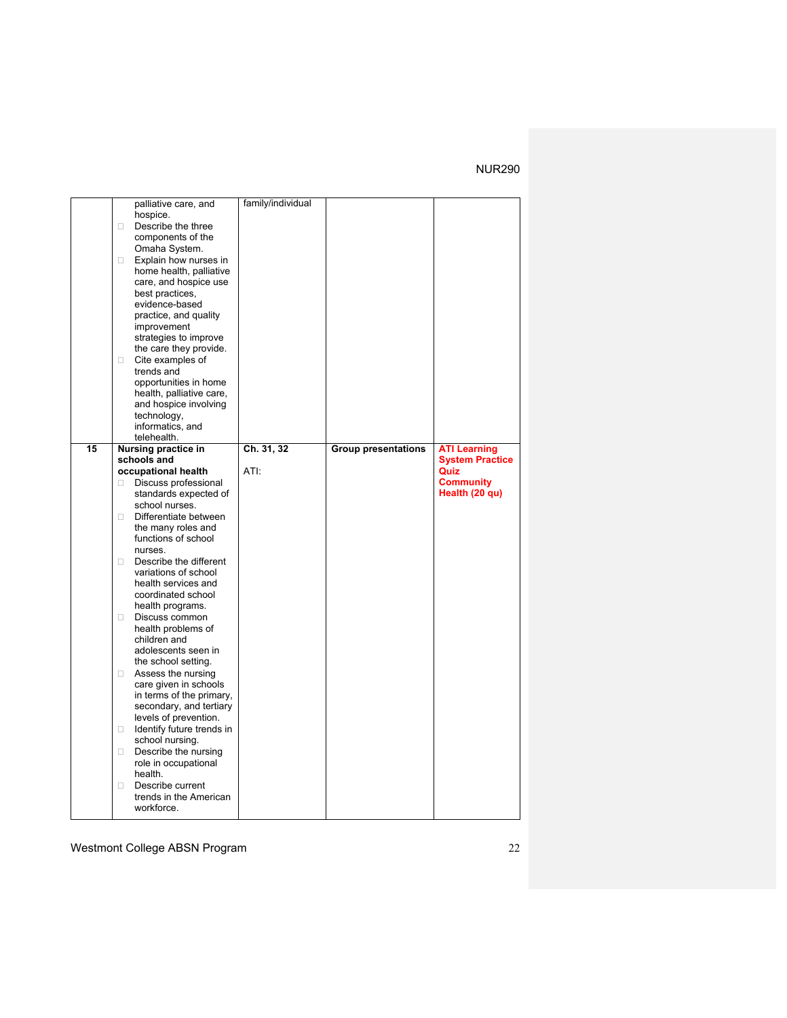|    |        | palliative care, and                        | family/individual |                            |                        |
|----|--------|---------------------------------------------|-------------------|----------------------------|------------------------|
|    |        | hospice.                                    |                   |                            |                        |
|    | П.     | Describe the three                          |                   |                            |                        |
|    |        | components of the                           |                   |                            |                        |
|    |        | Omaha System.                               |                   |                            |                        |
|    | $\Box$ | Explain how nurses in                       |                   |                            |                        |
|    |        | home health, palliative                     |                   |                            |                        |
|    |        | care, and hospice use                       |                   |                            |                        |
|    |        | best practices,                             |                   |                            |                        |
|    |        | evidence-based                              |                   |                            |                        |
|    |        |                                             |                   |                            |                        |
|    |        | practice, and quality                       |                   |                            |                        |
|    |        | improvement                                 |                   |                            |                        |
|    |        | strategies to improve                       |                   |                            |                        |
|    |        | the care they provide.                      |                   |                            |                        |
|    | $\Box$ | Cite examples of                            |                   |                            |                        |
|    |        | trends and                                  |                   |                            |                        |
|    |        | opportunities in home                       |                   |                            |                        |
|    |        | health, palliative care,                    |                   |                            |                        |
|    |        | and hospice involving                       |                   |                            |                        |
|    |        | technology,                                 |                   |                            |                        |
|    |        | informatics, and                            |                   |                            |                        |
|    |        | telehealth.                                 |                   |                            |                        |
| 15 |        | Nursing practice in                         | Ch. 31, 32        | <b>Group presentations</b> | <b>ATI Learning</b>    |
|    |        | schools and                                 |                   |                            | <b>System Practice</b> |
|    |        | occupational health                         | ATI:              |                            | Quiz                   |
|    | П.     | Discuss professional                        |                   |                            | <b>Community</b>       |
|    |        | standards expected of                       |                   |                            | Health (20 qu)         |
|    |        | school nurses.                              |                   |                            |                        |
|    | п      | Differentiate between                       |                   |                            |                        |
|    |        | the many roles and                          |                   |                            |                        |
|    |        | functions of school                         |                   |                            |                        |
|    |        | nurses.                                     |                   |                            |                        |
|    | П.     | Describe the different                      |                   |                            |                        |
|    |        | variations of school                        |                   |                            |                        |
|    |        | health services and                         |                   |                            |                        |
|    |        | coordinated school                          |                   |                            |                        |
|    |        | health programs.                            |                   |                            |                        |
|    |        | Discuss common                              |                   |                            |                        |
|    | 0      | health problems of                          |                   |                            |                        |
|    |        | children and                                |                   |                            |                        |
|    |        | adolescents seen in                         |                   |                            |                        |
|    |        |                                             |                   |                            |                        |
|    |        | the school setting.                         |                   |                            |                        |
|    | $\Box$ | Assess the nursing<br>care given in schools |                   |                            |                        |
|    |        |                                             |                   |                            |                        |
|    |        |                                             |                   |                            |                        |
|    |        | in terms of the primary,                    |                   |                            |                        |
|    |        | secondary, and tertiary                     |                   |                            |                        |
|    |        | levels of prevention.                       |                   |                            |                        |
|    | 0      | Identify future trends in                   |                   |                            |                        |
|    |        | school nursing.                             |                   |                            |                        |
|    | п      | Describe the nursing                        |                   |                            |                        |
|    |        | role in occupational                        |                   |                            |                        |
|    |        | health.                                     |                   |                            |                        |
|    | п      | Describe current                            |                   |                            |                        |
|    |        | trends in the American<br>workforce.        |                   |                            |                        |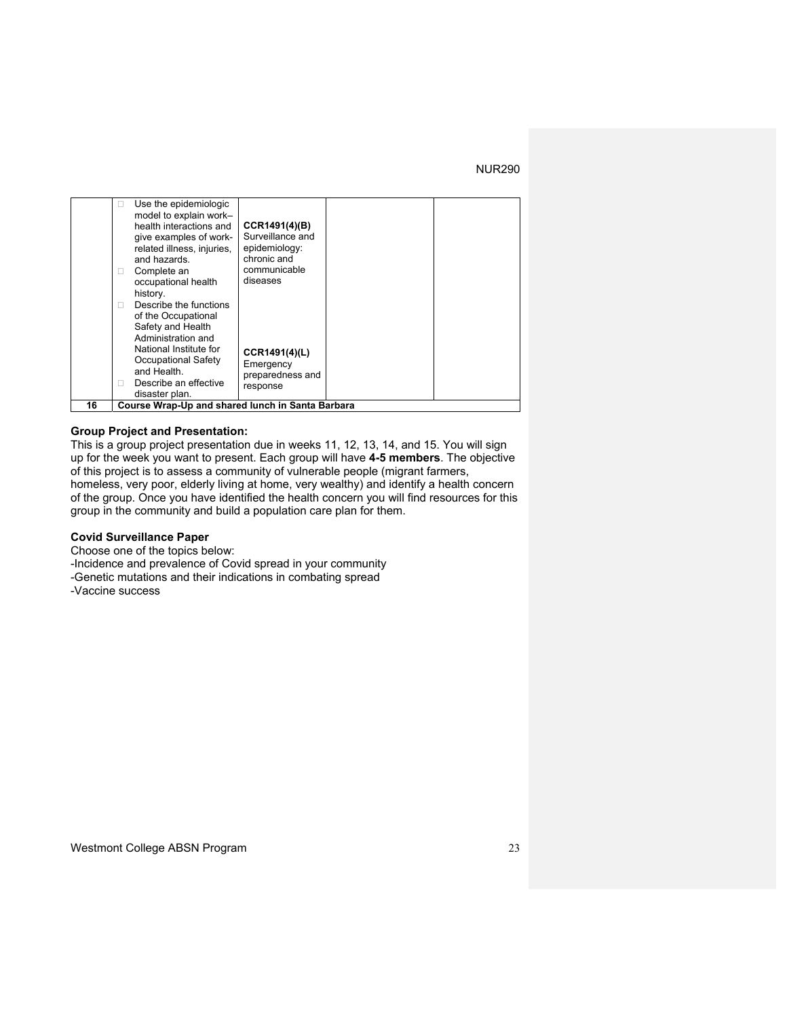|    | Use the epidemiologic<br>ш<br>model to explain work-<br>health interactions and<br>give examples of work-<br>related illness, injuries,<br>and hazards.<br>Complete an<br>occupational health<br>history.<br>Describe the functions<br>of the Occupational<br>Safety and Health<br>Administration and<br>National Institute for<br>Occupational Safety<br>and Health.<br>Describe an effective<br>disaster plan. | CCR1491(4)(B)<br>Surveillance and<br>epidemiology:<br>chronic and<br>communicable<br>diseases<br>CCR1491(4)(L)<br>Emergency<br>preparedness and<br>response |  |
|----|------------------------------------------------------------------------------------------------------------------------------------------------------------------------------------------------------------------------------------------------------------------------------------------------------------------------------------------------------------------------------------------------------------------|-------------------------------------------------------------------------------------------------------------------------------------------------------------|--|
| 16 | Course Wrap-Up and shared lunch in Santa Barbara                                                                                                                                                                                                                                                                                                                                                                 |                                                                                                                                                             |  |

#### **Group Project and Presentation:**

This is a group project presentation due in weeks 11, 12, 13, 14, and 15. You will sign up for the week you want to present. Each group will have **4-5 members**. The objective of this project is to assess a community of vulnerable people (migrant farmers, homeless, very poor, elderly living at home, very wealthy) and identify a health concern of the group. Once you have identified the health concern you will find resources for this group in the community and build a population care plan for them.

### **Covid Surveillance Paper**

Choose one of the topics below:

-Incidence and prevalence of Covid spread in your community

-Genetic mutations and their indications in combating spread

-Vaccine success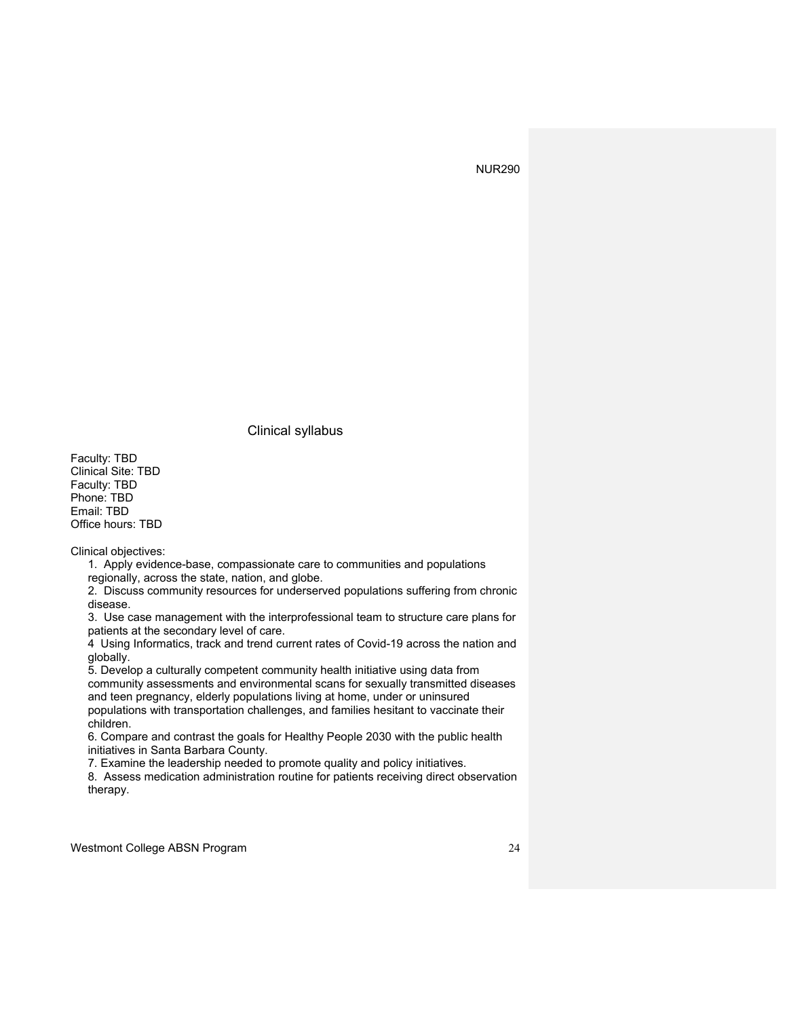Clinical syllabus

Faculty: TBD Clinical Site: TBD Faculty: TBD Phone: TBD Email: TBD Office hours: TBD

Clinical objectives:

1. Apply evidence-base, compassionate care to communities and populations regionally, across the state, nation, and globe.

2. Discuss community resources for underserved populations suffering from chronic disease.

3. Use case management with the interprofessional team to structure care plans for patients at the secondary level of care.

4 Using Informatics, track and trend current rates of Covid-19 across the nation and globally.

5. Develop a culturally competent community health initiative using data from community assessments and environmental scans for sexually transmitted diseases and teen pregnancy, elderly populations living at home, under or uninsured

populations with transportation challenges, and families hesitant to vaccinate their children.

6. Compare and contrast the goals for Healthy People 2030 with the public health initiatives in Santa Barbara County.

7. Examine the leadership needed to promote quality and policy initiatives.

8. Assess medication administration routine for patients receiving direct observation therapy.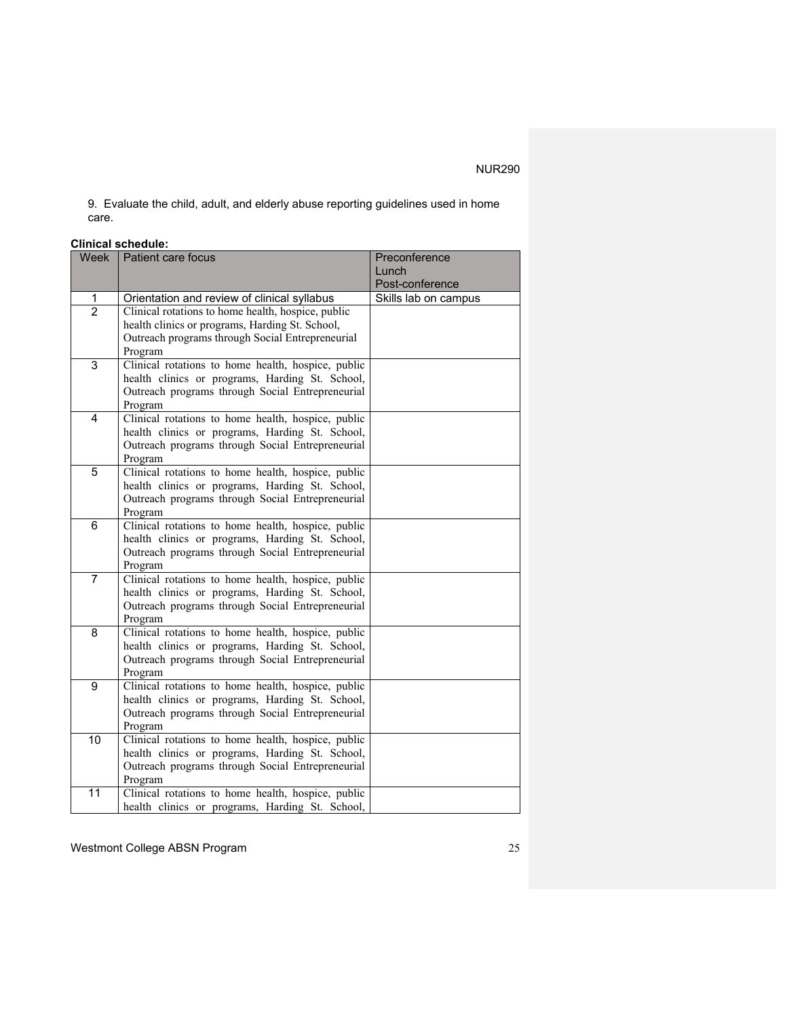9. Evaluate the child, adult, and elderly abuse reporting guidelines used in home care.

## **Clinical schedule:**

| Week           | Patient care focus                                 | Preconference        |
|----------------|----------------------------------------------------|----------------------|
|                |                                                    | Lunch                |
|                |                                                    | Post-conference      |
| 1              | Orientation and review of clinical syllabus        | Skills lab on campus |
| $\overline{2}$ | Clinical rotations to home health, hospice, public |                      |
|                | health clinics or programs, Harding St. School,    |                      |
|                | Outreach programs through Social Entrepreneurial   |                      |
|                | Program                                            |                      |
| 3              | Clinical rotations to home health, hospice, public |                      |
|                | health clinics or programs, Harding St. School,    |                      |
|                | Outreach programs through Social Entrepreneurial   |                      |
|                | Program                                            |                      |
| 4              | Clinical rotations to home health, hospice, public |                      |
|                | health clinics or programs, Harding St. School,    |                      |
|                | Outreach programs through Social Entrepreneurial   |                      |
|                | Program                                            |                      |
| 5              | Clinical rotations to home health, hospice, public |                      |
|                | health clinics or programs, Harding St. School,    |                      |
|                | Outreach programs through Social Entrepreneurial   |                      |
|                | Program                                            |                      |
| 6              | Clinical rotations to home health, hospice, public |                      |
|                | health clinics or programs, Harding St. School,    |                      |
|                | Outreach programs through Social Entrepreneurial   |                      |
|                | Program                                            |                      |
| $\overline{7}$ | Clinical rotations to home health, hospice, public |                      |
|                | health clinics or programs, Harding St. School,    |                      |
|                | Outreach programs through Social Entrepreneurial   |                      |
|                | Program                                            |                      |
| 8              | Clinical rotations to home health, hospice, public |                      |
|                | health clinics or programs, Harding St. School,    |                      |
|                | Outreach programs through Social Entrepreneurial   |                      |
|                | Program                                            |                      |
| 9              | Clinical rotations to home health, hospice, public |                      |
|                | health clinics or programs, Harding St. School,    |                      |
|                | Outreach programs through Social Entrepreneurial   |                      |
|                | Program                                            |                      |
| 10             | Clinical rotations to home health, hospice, public |                      |
|                | health clinics or programs, Harding St. School,    |                      |
|                | Outreach programs through Social Entrepreneurial   |                      |
|                | Program                                            |                      |
| 11             | Clinical rotations to home health, hospice, public |                      |
|                | health clinics or programs, Harding St. School,    |                      |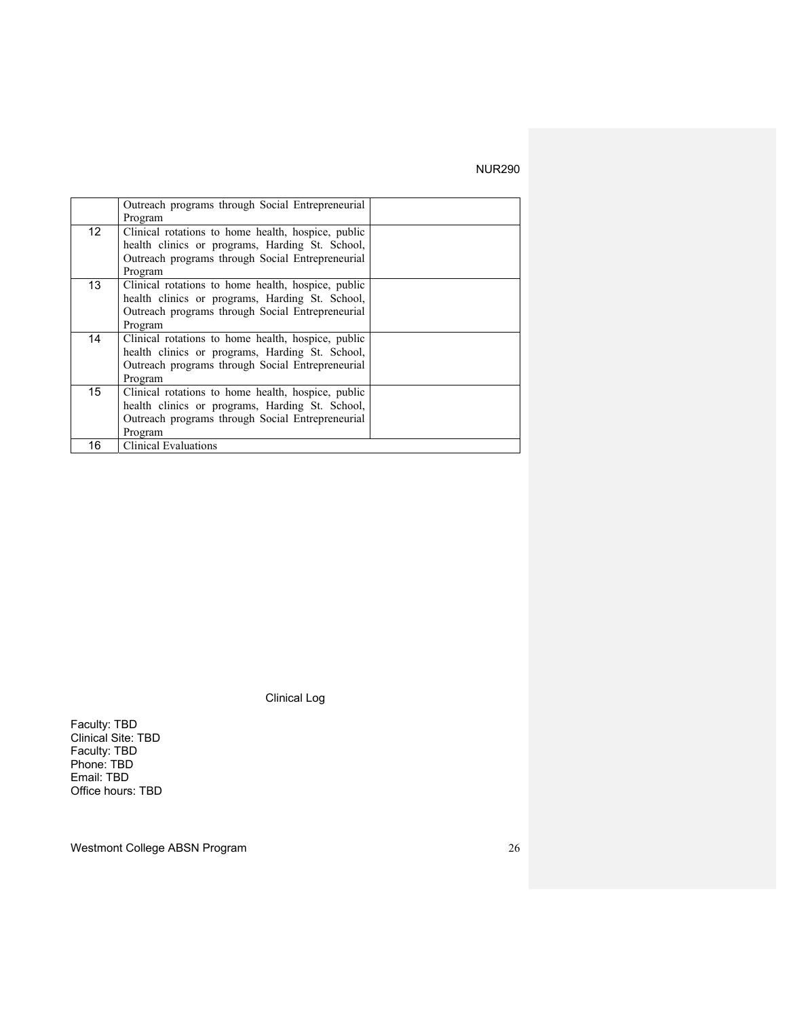|                  | Outreach programs through Social Entrepreneurial   |  |
|------------------|----------------------------------------------------|--|
|                  | Program                                            |  |
|                  |                                                    |  |
| 12 <sup>2</sup>  | Clinical rotations to home health, hospice, public |  |
|                  | health clinics or programs, Harding St. School,    |  |
|                  | Outreach programs through Social Entrepreneurial   |  |
|                  | Program                                            |  |
| 13               | Clinical rotations to home health, hospice, public |  |
|                  | health clinics or programs, Harding St. School,    |  |
|                  | Outreach programs through Social Entrepreneurial   |  |
|                  | Program                                            |  |
| 14               | Clinical rotations to home health, hospice, public |  |
|                  | health clinics or programs, Harding St. School,    |  |
|                  | Outreach programs through Social Entrepreneurial   |  |
|                  | Program                                            |  |
| 15 <sup>15</sup> | Clinical rotations to home health, hospice, public |  |
|                  | health clinics or programs, Harding St. School,    |  |
|                  | Outreach programs through Social Entrepreneurial   |  |
|                  | Program                                            |  |
| 16               | <b>Clinical Evaluations</b>                        |  |

Clinical Log

Faculty: TBD Clinical Site: TBD Faculty: TBD Phone: TBD Email: TBD Office hours: TBD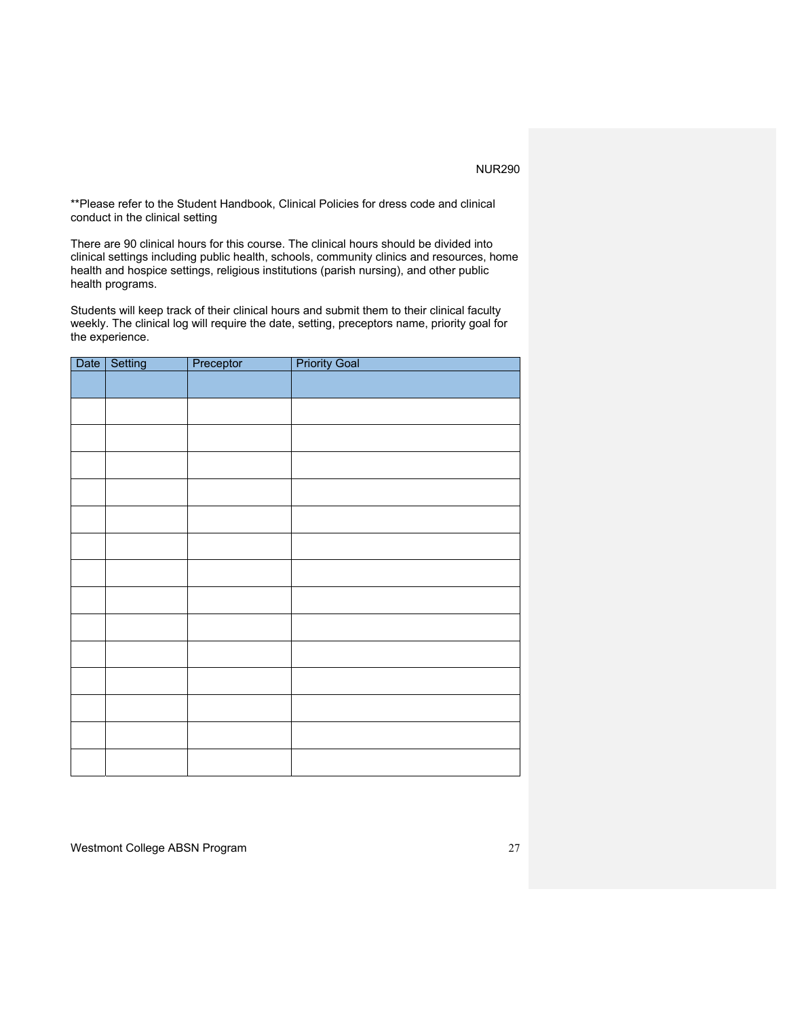\*\*Please refer to the Student Handbook, Clinical Policies for dress code and clinical conduct in the clinical setting

There are 90 clinical hours for this course. The clinical hours should be divided into clinical settings including public health, schools, community clinics and resources, home health and hospice settings, religious institutions (parish nursing), and other public health programs.

Students will keep track of their clinical hours and submit them to their clinical faculty weekly. The clinical log will require the date, setting, preceptors name, priority goal for the experience.

| Date | Setting | Preceptor | <b>Priority Goal</b> |
|------|---------|-----------|----------------------|
|      |         |           |                      |
|      |         |           |                      |
|      |         |           |                      |
|      |         |           |                      |
|      |         |           |                      |
|      |         |           |                      |
|      |         |           |                      |
|      |         |           |                      |
|      |         |           |                      |
|      |         |           |                      |
|      |         |           |                      |
|      |         |           |                      |
|      |         |           |                      |
|      |         |           |                      |
|      |         |           |                      |
|      |         |           |                      |
|      |         |           |                      |